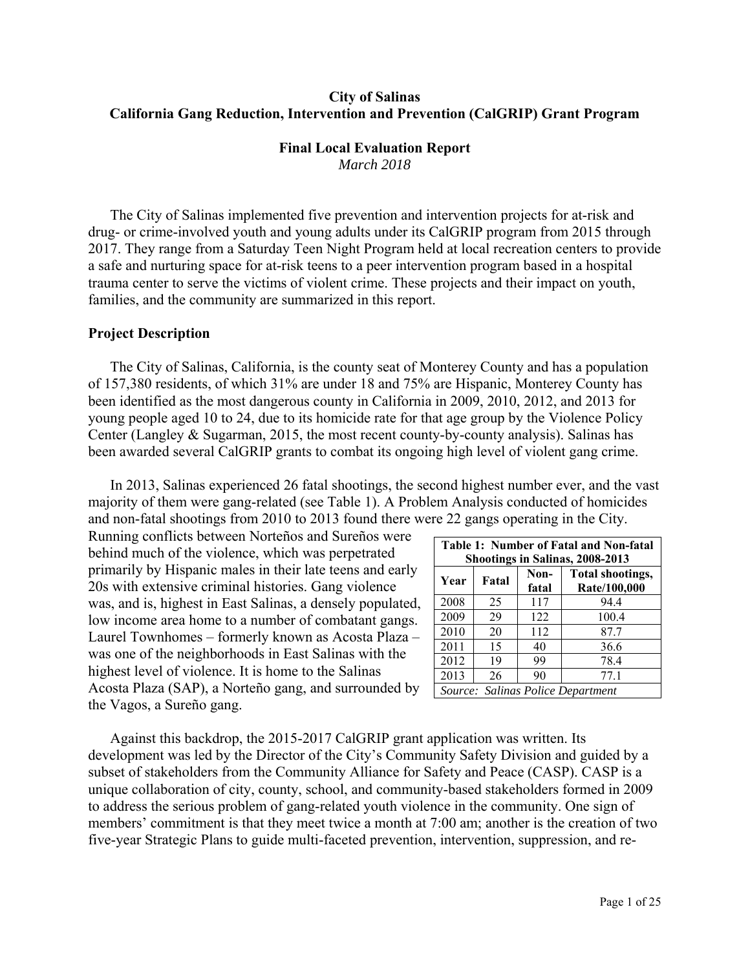# **City of Salinas California Gang Reduction, Intervention and Prevention (CalGRIP) Grant Program**

## **Final Local Evaluation Report**

*March 2018* 

 The City of Salinas implemented five prevention and intervention projects for at-risk and drug- or crime-involved youth and young adults under its CalGRIP program from 2015 through 2017. They range from a Saturday Teen Night Program held at local recreation centers to provide a safe and nurturing space for at-risk teens to a peer intervention program based in a hospital trauma center to serve the victims of violent crime. These projects and their impact on youth, families, and the community are summarized in this report.

# **Project Description**

 The City of Salinas, California, is the county seat of Monterey County and has a population of 157,380 residents, of which 31% are under 18 and 75% are Hispanic, Monterey County has been identified as the most dangerous county in California in 2009, 2010, 2012, and 2013 for young people aged 10 to 24, due to its homicide rate for that age group by the Violence Policy Center (Langley & Sugarman, 2015, the most recent county-by-county analysis). Salinas has been awarded several CalGRIP grants to combat its ongoing high level of violent gang crime.

 In 2013, Salinas experienced 26 fatal shootings, the second highest number ever, and the vast majority of them were gang-related (see Table 1). A Problem Analysis conducted of homicides and non-fatal shootings from 2010 to 2013 found there were 22 gangs operating in the City.

Running conflicts between Norteños and Sureños were behind much of the violence, which was perpetrated primarily by Hispanic males in their late teens and early 20s with extensive criminal histories. Gang violence was, and is, highest in East Salinas, a densely populated, low income area home to a number of combatant gangs. Laurel Townhomes – formerly known as Acosta Plaza – was one of the neighborhoods in East Salinas with the highest level of violence. It is home to the Salinas Acosta Plaza (SAP), a Norteño gang, and surrounded by the Vagos, a Sureño gang.

| Table 1: Number of Fatal and Non-fatal<br>Shootings in Salinas, 2008-2013 |                                                            |     |                                   |  |  |  |  |
|---------------------------------------------------------------------------|------------------------------------------------------------|-----|-----------------------------------|--|--|--|--|
| Year                                                                      | Total shootings,<br>Non-<br>Fatal<br>Rate/100,000<br>fatal |     |                                   |  |  |  |  |
| 2008                                                                      | 25                                                         | 117 | 94.4                              |  |  |  |  |
| 2009                                                                      | 29                                                         | 122 | 100.4                             |  |  |  |  |
| 2010                                                                      | 20                                                         | 112 | 87.7                              |  |  |  |  |
| 2011                                                                      | 15                                                         | 40  | 36.6                              |  |  |  |  |
| 2012                                                                      | 19                                                         | 99  | 78.4                              |  |  |  |  |
| 2013                                                                      | 26                                                         | 90  | 77.1                              |  |  |  |  |
|                                                                           |                                                            |     | Source: Salinas Police Department |  |  |  |  |

 Against this backdrop, the 2015-2017 CalGRIP grant application was written. Its development was led by the Director of the City's Community Safety Division and guided by a subset of stakeholders from the Community Alliance for Safety and Peace (CASP). CASP is a unique collaboration of city, county, school, and community-based stakeholders formed in 2009 to address the serious problem of gang-related youth violence in the community. One sign of members' commitment is that they meet twice a month at 7:00 am; another is the creation of two five-year Strategic Plans to guide multi-faceted prevention, intervention, suppression, and re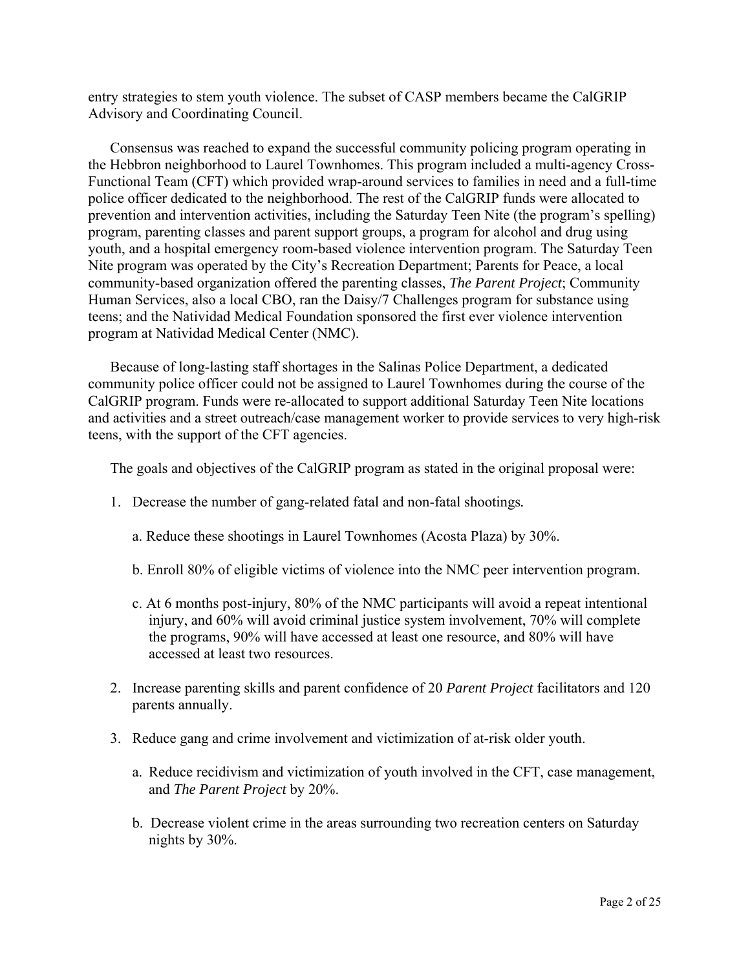entry strategies to stem youth violence. The subset of CASP members became the CalGRIP Advisory and Coordinating Council.

 Consensus was reached to expand the successful community policing program operating in the Hebbron neighborhood to Laurel Townhomes. This program included a multi-agency Cross-Functional Team (CFT) which provided wrap-around services to families in need and a full-time police officer dedicated to the neighborhood. The rest of the CalGRIP funds were allocated to prevention and intervention activities, including the Saturday Teen Nite (the program's spelling) program, parenting classes and parent support groups, a program for alcohol and drug using youth, and a hospital emergency room-based violence intervention program. The Saturday Teen Nite program was operated by the City's Recreation Department; Parents for Peace, a local community-based organization offered the parenting classes, *The Parent Project*; Community Human Services, also a local CBO, ran the Daisy/7 Challenges program for substance using teens; and the Natividad Medical Foundation sponsored the first ever violence intervention program at Natividad Medical Center (NMC).

 Because of long-lasting staff shortages in the Salinas Police Department, a dedicated community police officer could not be assigned to Laurel Townhomes during the course of the CalGRIP program. Funds were re-allocated to support additional Saturday Teen Nite locations and activities and a street outreach/case management worker to provide services to very high-risk teens, with the support of the CFT agencies.

The goals and objectives of the CalGRIP program as stated in the original proposal were:

- 1. Decrease the number of gang-related fatal and non-fatal shootings*.*
	- a. Reduce these shootings in Laurel Townhomes (Acosta Plaza) by 30%.
	- b. Enroll 80% of eligible victims of violence into the NMC peer intervention program.
	- c. At 6 months post-injury, 80% of the NMC participants will avoid a repeat intentional injury, and 60% will avoid criminal justice system involvement, 70% will complete the programs, 90% will have accessed at least one resource, and 80% will have accessed at least two resources.
- 2. Increase parenting skills and parent confidence of 20 *Parent Project* facilitators and 120 parents annually.
- 3. Reduce gang and crime involvement and victimization of at-risk older youth.
	- a. Reduce recidivism and victimization of youth involved in the CFT, case management, and *The Parent Project* by 20%.
	- b. Decrease violent crime in the areas surrounding two recreation centers on Saturday nights by 30%.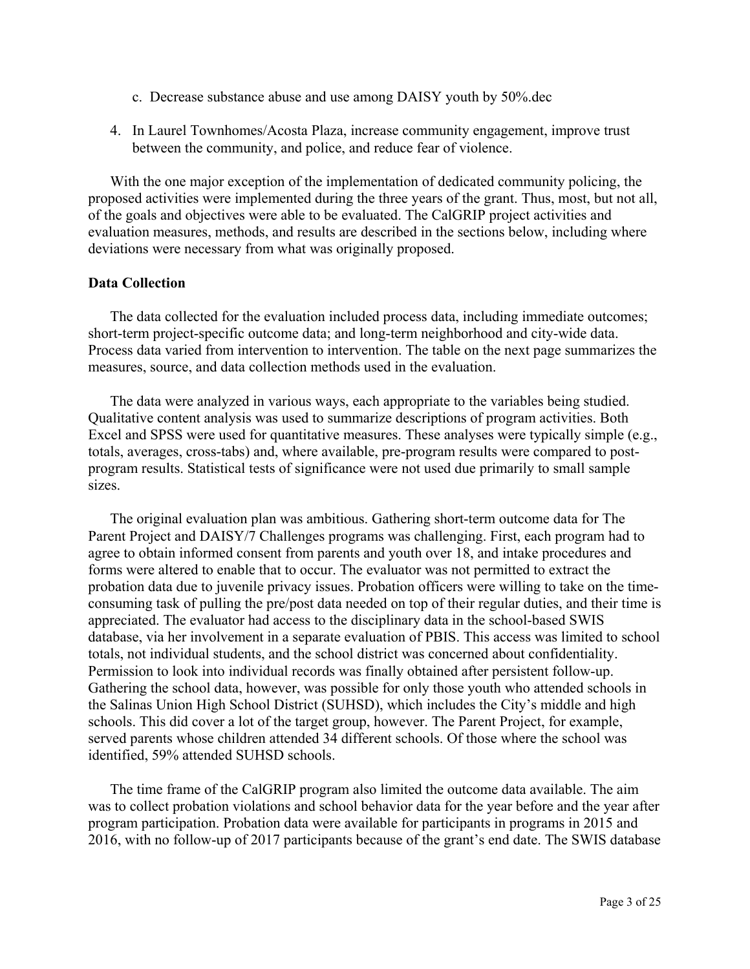- c. Decrease substance abuse and use among DAISY youth by 50%.dec
- 4. In Laurel Townhomes/Acosta Plaza, increase community engagement, improve trust between the community, and police, and reduce fear of violence.

 With the one major exception of the implementation of dedicated community policing, the proposed activities were implemented during the three years of the grant. Thus, most, but not all, of the goals and objectives were able to be evaluated. The CalGRIP project activities and evaluation measures, methods, and results are described in the sections below, including where deviations were necessary from what was originally proposed.

# **Data Collection**

 The data collected for the evaluation included process data, including immediate outcomes; short-term project-specific outcome data; and long-term neighborhood and city-wide data. Process data varied from intervention to intervention. The table on the next page summarizes the measures, source, and data collection methods used in the evaluation.

 The data were analyzed in various ways, each appropriate to the variables being studied. Qualitative content analysis was used to summarize descriptions of program activities. Both Excel and SPSS were used for quantitative measures. These analyses were typically simple (e.g., totals, averages, cross-tabs) and, where available, pre-program results were compared to postprogram results. Statistical tests of significance were not used due primarily to small sample sizes.

 The original evaluation plan was ambitious. Gathering short-term outcome data for The Parent Project and DAISY/7 Challenges programs was challenging. First, each program had to agree to obtain informed consent from parents and youth over 18, and intake procedures and forms were altered to enable that to occur. The evaluator was not permitted to extract the probation data due to juvenile privacy issues. Probation officers were willing to take on the timeconsuming task of pulling the pre/post data needed on top of their regular duties, and their time is appreciated. The evaluator had access to the disciplinary data in the school-based SWIS database, via her involvement in a separate evaluation of PBIS. This access was limited to school totals, not individual students, and the school district was concerned about confidentiality. Permission to look into individual records was finally obtained after persistent follow-up. Gathering the school data, however, was possible for only those youth who attended schools in the Salinas Union High School District (SUHSD), which includes the City's middle and high schools. This did cover a lot of the target group, however. The Parent Project, for example, served parents whose children attended 34 different schools. Of those where the school was identified, 59% attended SUHSD schools.

 The time frame of the CalGRIP program also limited the outcome data available. The aim was to collect probation violations and school behavior data for the year before and the year after program participation. Probation data were available for participants in programs in 2015 and 2016, with no follow-up of 2017 participants because of the grant's end date. The SWIS database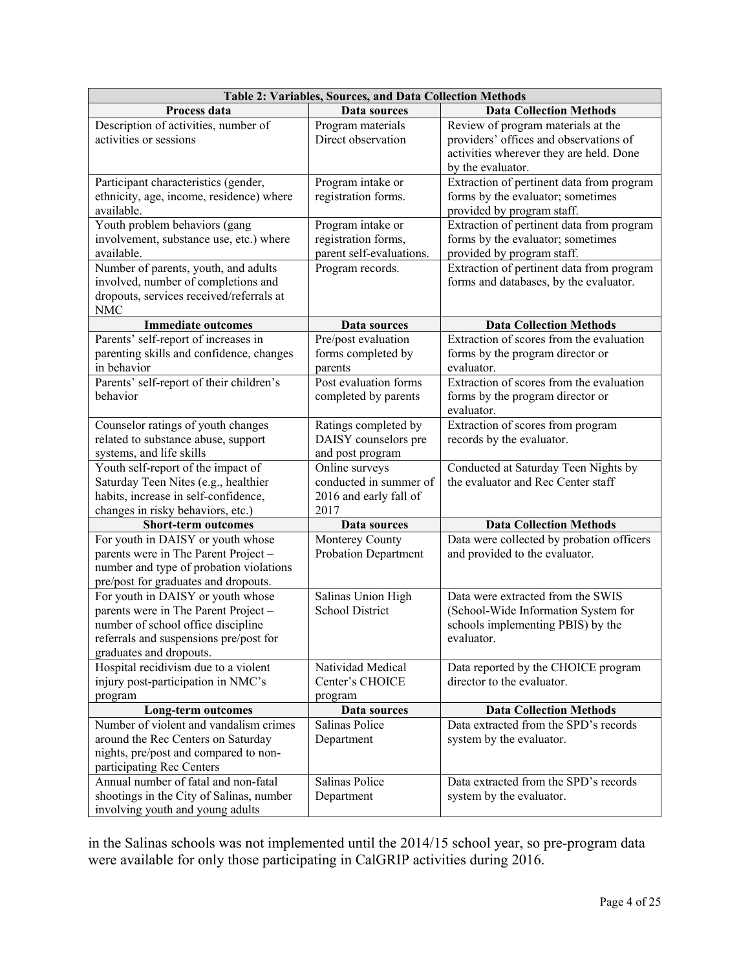|                                                                 | Table 2: Variables, Sources, and Data Collection Methods |                                                        |
|-----------------------------------------------------------------|----------------------------------------------------------|--------------------------------------------------------|
| Process data                                                    | Data sources                                             | <b>Data Collection Methods</b>                         |
| Description of activities, number of                            | Program materials                                        | Review of program materials at the                     |
| activities or sessions                                          | Direct observation                                       | providers' offices and observations of                 |
|                                                                 |                                                          | activities wherever they are held. Done                |
|                                                                 |                                                          | by the evaluator.                                      |
| Participant characteristics (gender,                            | Program intake or                                        | Extraction of pertinent data from program              |
| ethnicity, age, income, residence) where                        | registration forms.                                      | forms by the evaluator; sometimes                      |
| available.                                                      |                                                          | provided by program staff.                             |
| Youth problem behaviors (gang                                   | Program intake or                                        | Extraction of pertinent data from program              |
| involvement, substance use, etc.) where                         | registration forms,                                      | forms by the evaluator; sometimes                      |
| available.                                                      | parent self-evaluations.                                 | provided by program staff.                             |
| Number of parents, youth, and adults                            | Program records.                                         | Extraction of pertinent data from program              |
| involved, number of completions and                             |                                                          | forms and databases, by the evaluator.                 |
| dropouts, services received/referrals at                        |                                                          |                                                        |
| <b>NMC</b>                                                      |                                                          |                                                        |
| <b>Immediate outcomes</b>                                       | Data sources                                             | <b>Data Collection Methods</b>                         |
| Parents' self-report of increases in                            | Pre/post evaluation                                      | Extraction of scores from the evaluation               |
| parenting skills and confidence, changes                        | forms completed by                                       | forms by the program director or                       |
| in behavior                                                     | parents<br>Post evaluation forms                         | evaluator.<br>Extraction of scores from the evaluation |
| Parents' self-report of their children's<br>behavior            |                                                          |                                                        |
|                                                                 | completed by parents                                     | forms by the program director or                       |
|                                                                 |                                                          | evaluator.                                             |
| Counselor ratings of youth changes                              | Ratings completed by<br>DAISY counselors pre             | Extraction of scores from program                      |
| related to substance abuse, support<br>systems, and life skills | and post program                                         | records by the evaluator.                              |
| Youth self-report of the impact of                              | Online surveys                                           | Conducted at Saturday Teen Nights by                   |
| Saturday Teen Nites (e.g., healthier                            | conducted in summer of                                   | the evaluator and Rec Center staff                     |
| habits, increase in self-confidence,                            | 2016 and early fall of                                   |                                                        |
| changes in risky behaviors, etc.)                               | 2017                                                     |                                                        |
| <b>Short-term outcomes</b>                                      | Data sources                                             | <b>Data Collection Methods</b>                         |
| For youth in DAISY or youth whose                               | Monterey County                                          | Data were collected by probation officers              |
| parents were in The Parent Project -                            | <b>Probation Department</b>                              | and provided to the evaluator.                         |
| number and type of probation violations                         |                                                          |                                                        |
| pre/post for graduates and dropouts.                            |                                                          |                                                        |
| For youth in DAISY or youth whose                               | Salinas Union High                                       | Data were extracted from the SWIS                      |
| parents were in The Parent Project -                            | <b>School District</b>                                   | (School-Wide Information System for                    |
| number of school office discipline                              |                                                          | schools implementing PBIS) by the                      |
| referrals and suspensions pre/post for                          |                                                          | evaluator.                                             |
| graduates and dropouts.                                         |                                                          |                                                        |
| Hospital recidivism due to a violent                            | Natividad Medical                                        | Data reported by the CHOICE program                    |
| injury post-participation in NMC's                              | Center's CHOICE                                          | director to the evaluator.                             |
| program                                                         | program                                                  |                                                        |
| <b>Long-term outcomes</b>                                       | Data sources                                             | <b>Data Collection Methods</b>                         |
| Number of violent and vandalism crimes                          | Salinas Police                                           | Data extracted from the SPD's records                  |
| around the Rec Centers on Saturday                              | Department                                               | system by the evaluator.                               |
| nights, pre/post and compared to non-                           |                                                          |                                                        |
| participating Rec Centers                                       |                                                          |                                                        |
| Annual number of fatal and non-fatal                            | Salinas Police                                           | Data extracted from the SPD's records                  |
| shootings in the City of Salinas, number                        | Department                                               | system by the evaluator.                               |
| involving youth and young adults                                |                                                          |                                                        |

in the Salinas schools was not implemented until the 2014/15 school year, so pre-program data were available for only those participating in CalGRIP activities during 2016.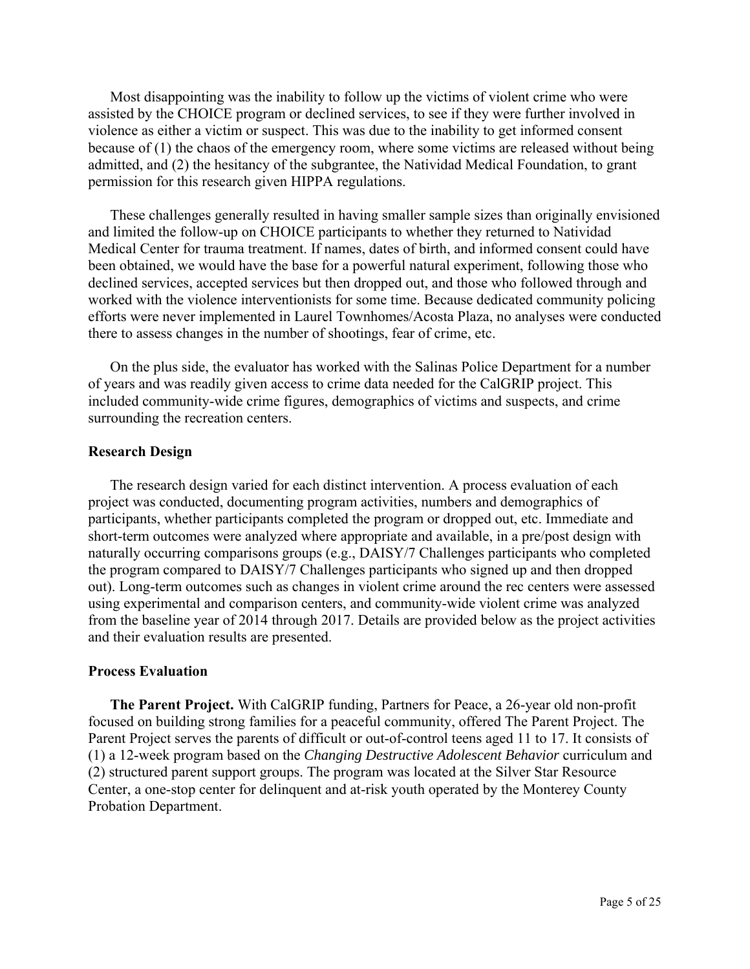Most disappointing was the inability to follow up the victims of violent crime who were assisted by the CHOICE program or declined services, to see if they were further involved in violence as either a victim or suspect. This was due to the inability to get informed consent because of (1) the chaos of the emergency room, where some victims are released without being admitted, and (2) the hesitancy of the subgrantee, the Natividad Medical Foundation, to grant permission for this research given HIPPA regulations.

 These challenges generally resulted in having smaller sample sizes than originally envisioned and limited the follow-up on CHOICE participants to whether they returned to Natividad Medical Center for trauma treatment. If names, dates of birth, and informed consent could have been obtained, we would have the base for a powerful natural experiment, following those who declined services, accepted services but then dropped out, and those who followed through and worked with the violence interventionists for some time. Because dedicated community policing efforts were never implemented in Laurel Townhomes/Acosta Plaza, no analyses were conducted there to assess changes in the number of shootings, fear of crime, etc.

 On the plus side, the evaluator has worked with the Salinas Police Department for a number of years and was readily given access to crime data needed for the CalGRIP project. This included community-wide crime figures, demographics of victims and suspects, and crime surrounding the recreation centers.

### **Research Design**

The research design varied for each distinct intervention. A process evaluation of each project was conducted, documenting program activities, numbers and demographics of participants, whether participants completed the program or dropped out, etc. Immediate and short-term outcomes were analyzed where appropriate and available, in a pre/post design with naturally occurring comparisons groups (e.g., DAISY/7 Challenges participants who completed the program compared to DAISY/7 Challenges participants who signed up and then dropped out). Long-term outcomes such as changes in violent crime around the rec centers were assessed using experimental and comparison centers, and community-wide violent crime was analyzed from the baseline year of 2014 through 2017. Details are provided below as the project activities and their evaluation results are presented.

#### **Process Evaluation**

 **The Parent Project.** With CalGRIP funding, Partners for Peace, a 26-year old non-profit focused on building strong families for a peaceful community, offered The Parent Project. The Parent Project serves the parents of difficult or out-of-control teens aged 11 to 17. It consists of (1) a 12-week program based on the *Changing Destructive Adolescent Behavior* curriculum and (2) structured parent support groups. The program was located at the Silver Star Resource Center, a one-stop center for delinquent and at-risk youth operated by the Monterey County Probation Department.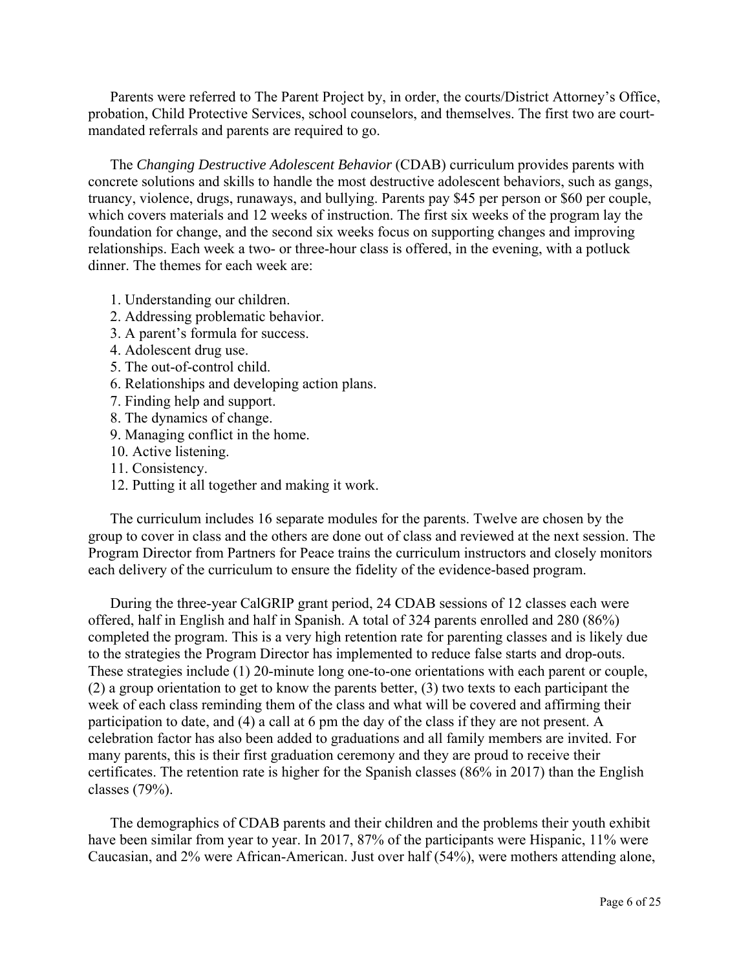Parents were referred to The Parent Project by, in order, the courts/District Attorney's Office, probation, Child Protective Services, school counselors, and themselves. The first two are courtmandated referrals and parents are required to go.

 The *Changing Destructive Adolescent Behavior* (CDAB) curriculum provides parents with concrete solutions and skills to handle the most destructive adolescent behaviors, such as gangs, truancy, violence, drugs, runaways, and bullying. Parents pay \$45 per person or \$60 per couple, which covers materials and 12 weeks of instruction. The first six weeks of the program lay the foundation for change, and the second six weeks focus on supporting changes and improving relationships. Each week a two- or three-hour class is offered, in the evening, with a potluck dinner. The themes for each week are:

- 1. Understanding our children.
- 2. Addressing problematic behavior.
- 3. A parent's formula for success.
- 4. Adolescent drug use.
- 5. The out-of-control child.
- 6. Relationships and developing action plans.
- 7. Finding help and support.
- 8. The dynamics of change.
- 9. Managing conflict in the home.
- 10. Active listening.
- 11. Consistency.
- 12. Putting it all together and making it work.

 The curriculum includes 16 separate modules for the parents. Twelve are chosen by the group to cover in class and the others are done out of class and reviewed at the next session. The Program Director from Partners for Peace trains the curriculum instructors and closely monitors each delivery of the curriculum to ensure the fidelity of the evidence-based program.

 During the three-year CalGRIP grant period, 24 CDAB sessions of 12 classes each were offered, half in English and half in Spanish. A total of 324 parents enrolled and 280 (86%) completed the program. This is a very high retention rate for parenting classes and is likely due to the strategies the Program Director has implemented to reduce false starts and drop-outs. These strategies include (1) 20-minute long one-to-one orientations with each parent or couple, (2) a group orientation to get to know the parents better, (3) two texts to each participant the week of each class reminding them of the class and what will be covered and affirming their participation to date, and (4) a call at 6 pm the day of the class if they are not present. A celebration factor has also been added to graduations and all family members are invited. For many parents, this is their first graduation ceremony and they are proud to receive their certificates. The retention rate is higher for the Spanish classes (86% in 2017) than the English classes (79%).

 The demographics of CDAB parents and their children and the problems their youth exhibit have been similar from year to year. In 2017, 87% of the participants were Hispanic, 11% were Caucasian, and 2% were African-American. Just over half (54%), were mothers attending alone,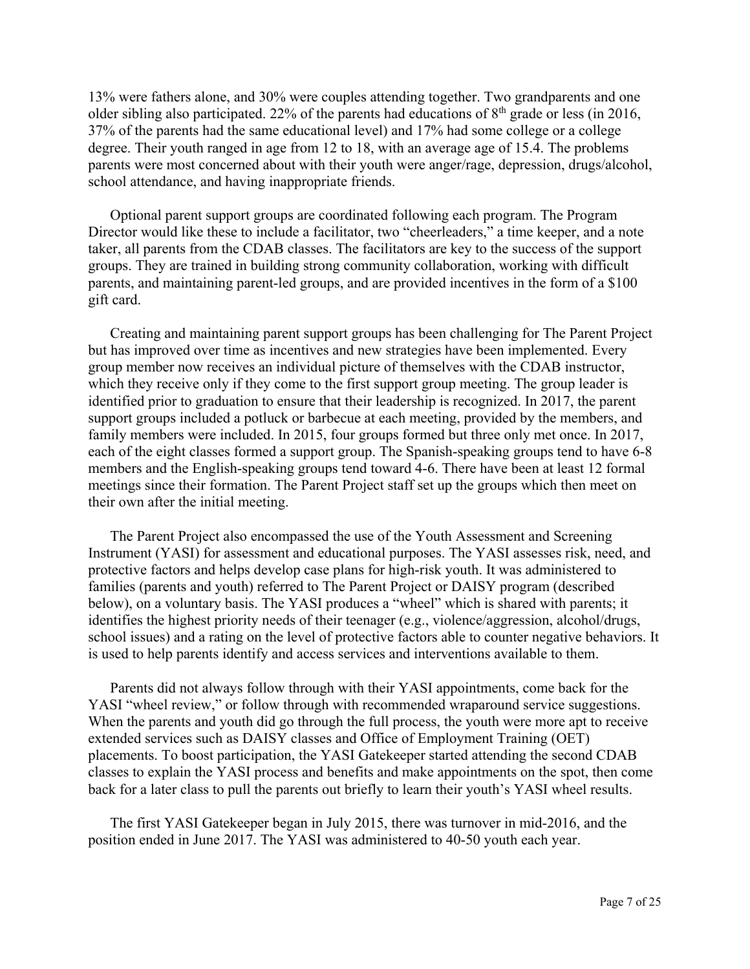13% were fathers alone, and 30% were couples attending together. Two grandparents and one older sibling also participated. 22% of the parents had educations of  $8<sup>th</sup>$  grade or less (in 2016, 37% of the parents had the same educational level) and 17% had some college or a college degree. Their youth ranged in age from 12 to 18, with an average age of 15.4. The problems parents were most concerned about with their youth were anger/rage, depression, drugs/alcohol, school attendance, and having inappropriate friends.

Optional parent support groups are coordinated following each program. The Program Director would like these to include a facilitator, two "cheerleaders," a time keeper, and a note taker, all parents from the CDAB classes. The facilitators are key to the success of the support groups. They are trained in building strong community collaboration, working with difficult parents, and maintaining parent-led groups, and are provided incentives in the form of a \$100 gift card.

 Creating and maintaining parent support groups has been challenging for The Parent Project but has improved over time as incentives and new strategies have been implemented. Every group member now receives an individual picture of themselves with the CDAB instructor, which they receive only if they come to the first support group meeting. The group leader is identified prior to graduation to ensure that their leadership is recognized. In 2017, the parent support groups included a potluck or barbecue at each meeting, provided by the members, and family members were included. In 2015, four groups formed but three only met once. In 2017, each of the eight classes formed a support group. The Spanish-speaking groups tend to have 6-8 members and the English-speaking groups tend toward 4-6. There have been at least 12 formal meetings since their formation. The Parent Project staff set up the groups which then meet on their own after the initial meeting.

The Parent Project also encompassed the use of the Youth Assessment and Screening Instrument (YASI) for assessment and educational purposes. The YASI assesses risk, need, and protective factors and helps develop case plans for high-risk youth. It was administered to families (parents and youth) referred to The Parent Project or DAISY program (described below), on a voluntary basis. The YASI produces a "wheel" which is shared with parents; it identifies the highest priority needs of their teenager (e.g., violence/aggression, alcohol/drugs, school issues) and a rating on the level of protective factors able to counter negative behaviors. It is used to help parents identify and access services and interventions available to them.

 Parents did not always follow through with their YASI appointments, come back for the YASI "wheel review," or follow through with recommended wraparound service suggestions. When the parents and youth did go through the full process, the youth were more apt to receive extended services such as DAISY classes and Office of Employment Training (OET) placements. To boost participation, the YASI Gatekeeper started attending the second CDAB classes to explain the YASI process and benefits and make appointments on the spot, then come back for a later class to pull the parents out briefly to learn their youth's YASI wheel results.

 The first YASI Gatekeeper began in July 2015, there was turnover in mid-2016, and the position ended in June 2017. The YASI was administered to 40-50 youth each year.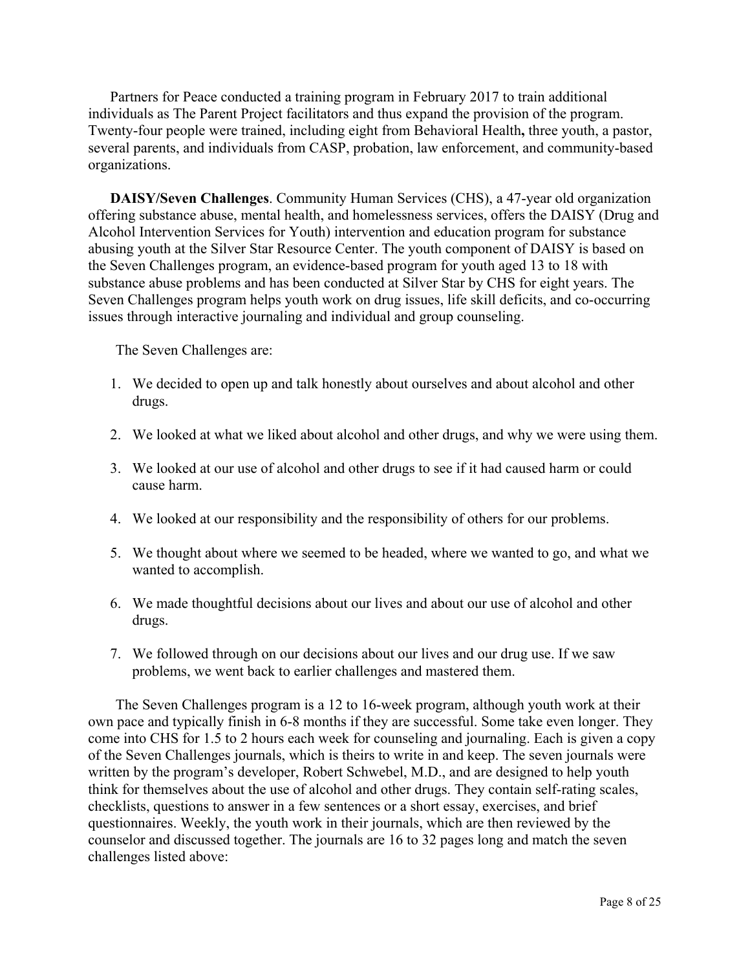Partners for Peace conducted a training program in February 2017 to train additional individuals as The Parent Project facilitators and thus expand the provision of the program. Twenty-four people were trained, including eight from Behavioral Health**,** three youth, a pastor, several parents, and individuals from CASP, probation, law enforcement, and community-based organizations.

 **DAISY/Seven Challenges**. Community Human Services (CHS), a 47-year old organization offering substance abuse, mental health, and homelessness services, offers the DAISY (Drug and Alcohol Intervention Services for Youth) intervention and education program for substance abusing youth at the Silver Star Resource Center. The youth component of DAISY is based on the Seven Challenges program, an evidence-based program for youth aged 13 to 18 with substance abuse problems and has been conducted at Silver Star by CHS for eight years. The Seven Challenges program helps youth work on drug issues, life skill deficits, and co-occurring issues through interactive journaling and individual and group counseling.

The Seven Challenges are:

- 1. We decided to open up and talk honestly about ourselves and about alcohol and other drugs.
- 2. We looked at what we liked about alcohol and other drugs, and why we were using them.
- 3. We looked at our use of alcohol and other drugs to see if it had caused harm or could cause harm.
- 4. We looked at our responsibility and the responsibility of others for our problems.
- 5. We thought about where we seemed to be headed, where we wanted to go, and what we wanted to accomplish.
- 6. We made thoughtful decisions about our lives and about our use of alcohol and other drugs.
- 7. We followed through on our decisions about our lives and our drug use. If we saw problems, we went back to earlier challenges and mastered them.

 The Seven Challenges program is a 12 to 16-week program, although youth work at their own pace and typically finish in 6-8 months if they are successful. Some take even longer. They come into CHS for 1.5 to 2 hours each week for counseling and journaling. Each is given a copy of the Seven Challenges journals, which is theirs to write in and keep. The seven journals were written by the program's developer, Robert Schwebel, M.D., and are designed to help youth think for themselves about the use of alcohol and other drugs. They contain self-rating scales, checklists, questions to answer in a few sentences or a short essay, exercises, and brief questionnaires. Weekly, the youth work in their journals, which are then reviewed by the counselor and discussed together. The journals are 16 to 32 pages long and match the seven challenges listed above: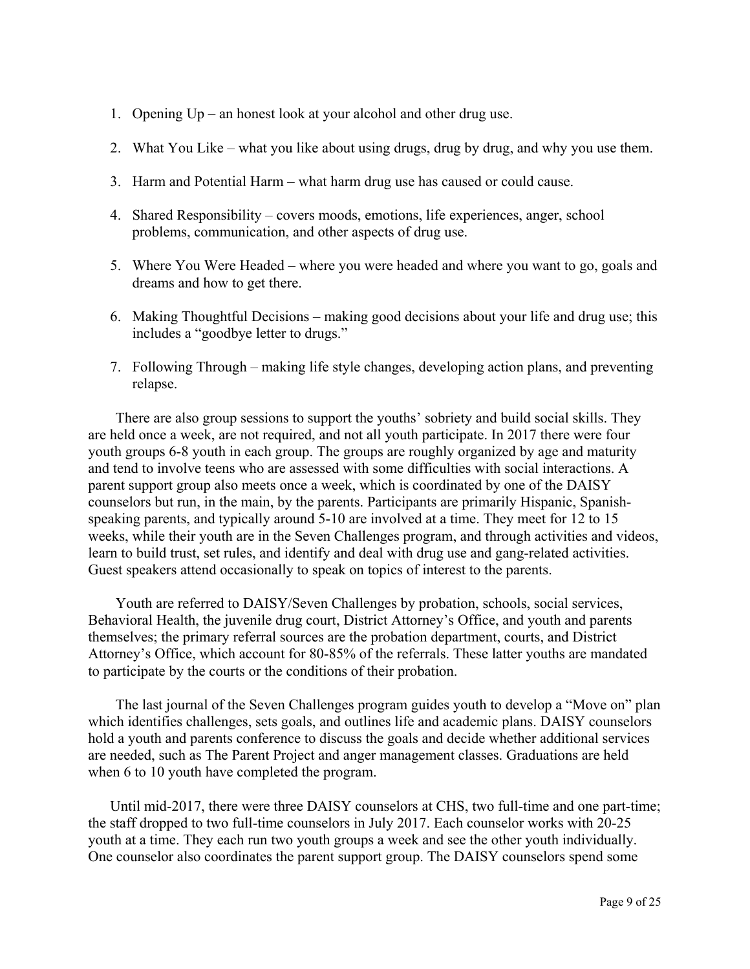- 1. Opening Up an honest look at your alcohol and other drug use.
- 2. What You Like what you like about using drugs, drug by drug, and why you use them.
- 3. Harm and Potential Harm what harm drug use has caused or could cause.
- 4. Shared Responsibility covers moods, emotions, life experiences, anger, school problems, communication, and other aspects of drug use.
- 5. Where You Were Headed where you were headed and where you want to go, goals and dreams and how to get there.
- 6. Making Thoughtful Decisions making good decisions about your life and drug use; this includes a "goodbye letter to drugs."
- 7. Following Through making life style changes, developing action plans, and preventing relapse.

 There are also group sessions to support the youths' sobriety and build social skills. They are held once a week, are not required, and not all youth participate. In 2017 there were four youth groups 6-8 youth in each group. The groups are roughly organized by age and maturity and tend to involve teens who are assessed with some difficulties with social interactions. A parent support group also meets once a week, which is coordinated by one of the DAISY counselors but run, in the main, by the parents. Participants are primarily Hispanic, Spanishspeaking parents, and typically around 5-10 are involved at a time. They meet for 12 to 15 weeks, while their youth are in the Seven Challenges program, and through activities and videos, learn to build trust, set rules, and identify and deal with drug use and gang-related activities. Guest speakers attend occasionally to speak on topics of interest to the parents.

 Youth are referred to DAISY/Seven Challenges by probation, schools, social services, Behavioral Health, the juvenile drug court, District Attorney's Office, and youth and parents themselves; the primary referral sources are the probation department, courts, and District Attorney's Office, which account for 80-85% of the referrals. These latter youths are mandated to participate by the courts or the conditions of their probation.

 The last journal of the Seven Challenges program guides youth to develop a "Move on" plan which identifies challenges, sets goals, and outlines life and academic plans. DAISY counselors hold a youth and parents conference to discuss the goals and decide whether additional services are needed, such as The Parent Project and anger management classes. Graduations are held when 6 to 10 youth have completed the program.

 Until mid-2017, there were three DAISY counselors at CHS, two full-time and one part-time; the staff dropped to two full-time counselors in July 2017. Each counselor works with 20-25 youth at a time. They each run two youth groups a week and see the other youth individually. One counselor also coordinates the parent support group. The DAISY counselors spend some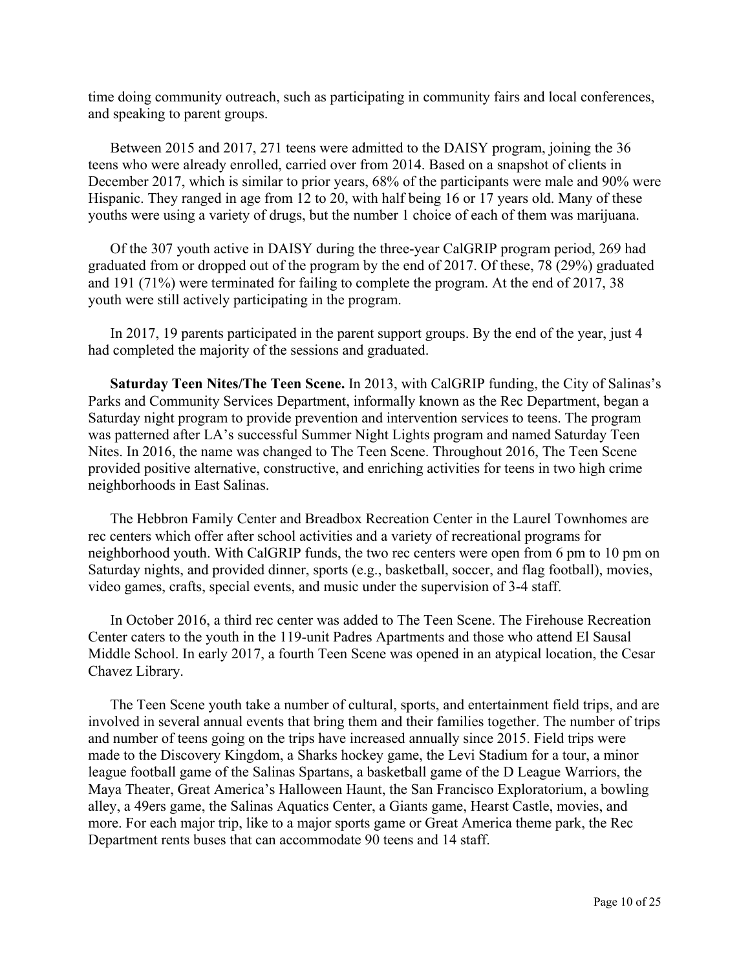time doing community outreach, such as participating in community fairs and local conferences, and speaking to parent groups.

 Between 2015 and 2017, 271 teens were admitted to the DAISY program, joining the 36 teens who were already enrolled, carried over from 2014. Based on a snapshot of clients in December 2017, which is similar to prior years, 68% of the participants were male and 90% were Hispanic. They ranged in age from 12 to 20, with half being 16 or 17 years old. Many of these youths were using a variety of drugs, but the number 1 choice of each of them was marijuana.

 Of the 307 youth active in DAISY during the three-year CalGRIP program period, 269 had graduated from or dropped out of the program by the end of 2017. Of these, 78 (29%) graduated and 191 (71%) were terminated for failing to complete the program. At the end of 2017, 38 youth were still actively participating in the program.

 In 2017, 19 parents participated in the parent support groups. By the end of the year, just 4 had completed the majority of the sessions and graduated.

 **Saturday Teen Nites/The Teen Scene.** In 2013, with CalGRIP funding, the City of Salinas's Parks and Community Services Department, informally known as the Rec Department, began a Saturday night program to provide prevention and intervention services to teens. The program was patterned after LA's successful Summer Night Lights program and named Saturday Teen Nites. In 2016, the name was changed to The Teen Scene. Throughout 2016, The Teen Scene provided positive alternative, constructive, and enriching activities for teens in two high crime neighborhoods in East Salinas.

 The Hebbron Family Center and Breadbox Recreation Center in the Laurel Townhomes are rec centers which offer after school activities and a variety of recreational programs for neighborhood youth. With CalGRIP funds, the two rec centers were open from 6 pm to 10 pm on Saturday nights, and provided dinner, sports (e.g., basketball, soccer, and flag football), movies, video games, crafts, special events, and music under the supervision of 3-4 staff.

 In October 2016, a third rec center was added to The Teen Scene. The Firehouse Recreation Center caters to the youth in the 119-unit Padres Apartments and those who attend El Sausal Middle School. In early 2017, a fourth Teen Scene was opened in an atypical location, the Cesar Chavez Library.

 The Teen Scene youth take a number of cultural, sports, and entertainment field trips, and are involved in several annual events that bring them and their families together. The number of trips and number of teens going on the trips have increased annually since 2015. Field trips were made to the Discovery Kingdom, a Sharks hockey game, the Levi Stadium for a tour, a minor league football game of the Salinas Spartans, a basketball game of the D League Warriors, the Maya Theater, Great America's Halloween Haunt, the San Francisco Exploratorium, a bowling alley, a 49ers game, the Salinas Aquatics Center, a Giants game, Hearst Castle, movies, and more. For each major trip, like to a major sports game or Great America theme park, the Rec Department rents buses that can accommodate 90 teens and 14 staff.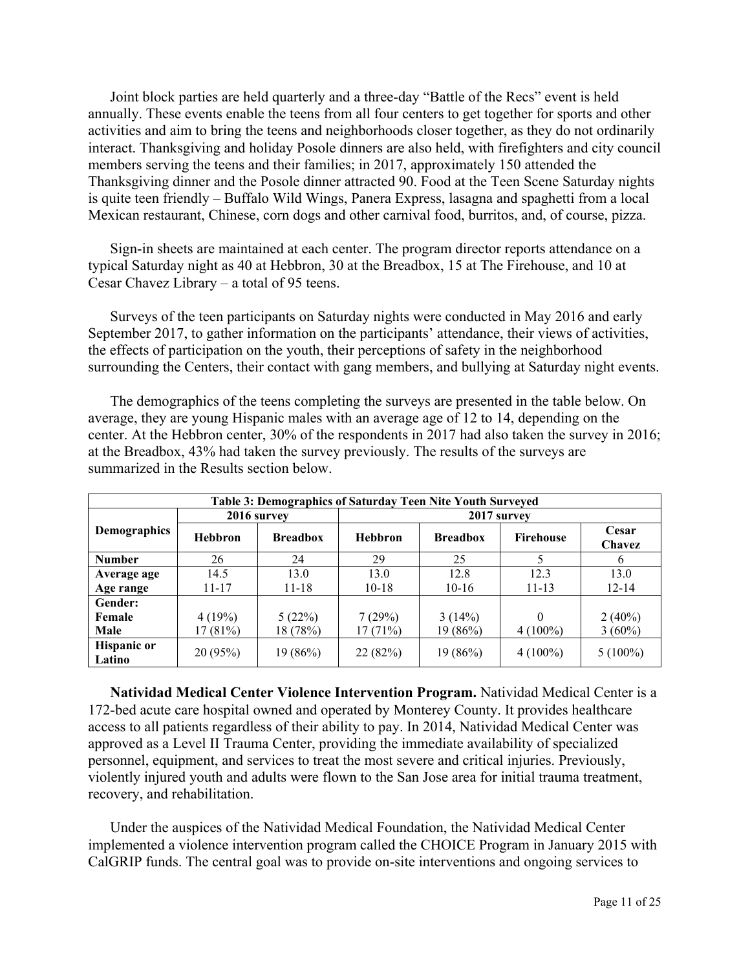Joint block parties are held quarterly and a three-day "Battle of the Recs" event is held annually. These events enable the teens from all four centers to get together for sports and other activities and aim to bring the teens and neighborhoods closer together, as they do not ordinarily interact. Thanksgiving and holiday Posole dinners are also held, with firefighters and city council members serving the teens and their families; in 2017, approximately 150 attended the Thanksgiving dinner and the Posole dinner attracted 90. Food at the Teen Scene Saturday nights is quite teen friendly – Buffalo Wild Wings, Panera Express, lasagna and spaghetti from a local Mexican restaurant, Chinese, corn dogs and other carnival food, burritos, and, of course, pizza.

 Sign-in sheets are maintained at each center. The program director reports attendance on a typical Saturday night as 40 at Hebbron, 30 at the Breadbox, 15 at The Firehouse, and 10 at Cesar Chavez Library – a total of 95 teens.

 Surveys of the teen participants on Saturday nights were conducted in May 2016 and early September 2017, to gather information on the participants' attendance, their views of activities, the effects of participation on the youth, their perceptions of safety in the neighborhood surrounding the Centers, their contact with gang members, and bullying at Saturday night events.

 The demographics of the teens completing the surveys are presented in the table below. On average, they are young Hispanic males with an average age of 12 to 14, depending on the center. At the Hebbron center, 30% of the respondents in 2017 had also taken the survey in 2016; at the Breadbox, 43% had taken the survey previously. The results of the surveys are summarized in the Results section below.

| Table 3: Demographics of Saturday Teen Nite Youth Surveyed |                |                 |                |                 |                  |                 |  |  |
|------------------------------------------------------------|----------------|-----------------|----------------|-----------------|------------------|-----------------|--|--|
|                                                            |                | 2016 survey     |                | 2017 survey     |                  |                 |  |  |
| <b>Demographics</b>                                        | <b>Hebbron</b> | <b>Breadbox</b> | <b>Hebbron</b> | <b>Breadbox</b> | <b>Firehouse</b> | Cesar<br>Chavez |  |  |
| <b>Number</b>                                              | 26             | 24              | 29             | 25              |                  | 6               |  |  |
| Average age                                                | 14.5           | 13.0            | 13.0           | 12.8            | 12.3             | 13.0            |  |  |
| Age range                                                  | $11 - 17$      | $11 - 18$       | $10-18$        | $10-16$         | $11 - 13$        | $12 - 14$       |  |  |
| Gender:                                                    |                |                 |                |                 |                  |                 |  |  |
| Female                                                     | 4(19%)         | 5(22%)          | 7(29%)         | 3(14%)          | 0                | $2(40\%)$       |  |  |
| Male                                                       | 17(81%)        | 18 (78%)        | 17(71%)        | 19(86%)         | $4(100\%)$       | $3(60\%)$       |  |  |
| <b>Hispanic or</b><br>Latino                               | 20(95%)        | 19(86%)         | 22(82%)        | 19(86%)         | $4(100\%)$       | $5(100\%)$      |  |  |

 **Natividad Medical Center Violence Intervention Program.** Natividad Medical Center is a 172-bed acute care hospital owned and operated by Monterey County. It provides healthcare access to all patients regardless of their ability to pay. In 2014, Natividad Medical Center was approved as a Level II Trauma Center, providing the immediate availability of specialized personnel, equipment, and services to treat the most severe and critical injuries. Previously, violently injured youth and adults were flown to the San Jose area for initial trauma treatment, recovery, and rehabilitation.

 Under the auspices of the Natividad Medical Foundation, the Natividad Medical Center implemented a violence intervention program called the CHOICE Program in January 2015 with CalGRIP funds. The central goal was to provide on-site interventions and ongoing services to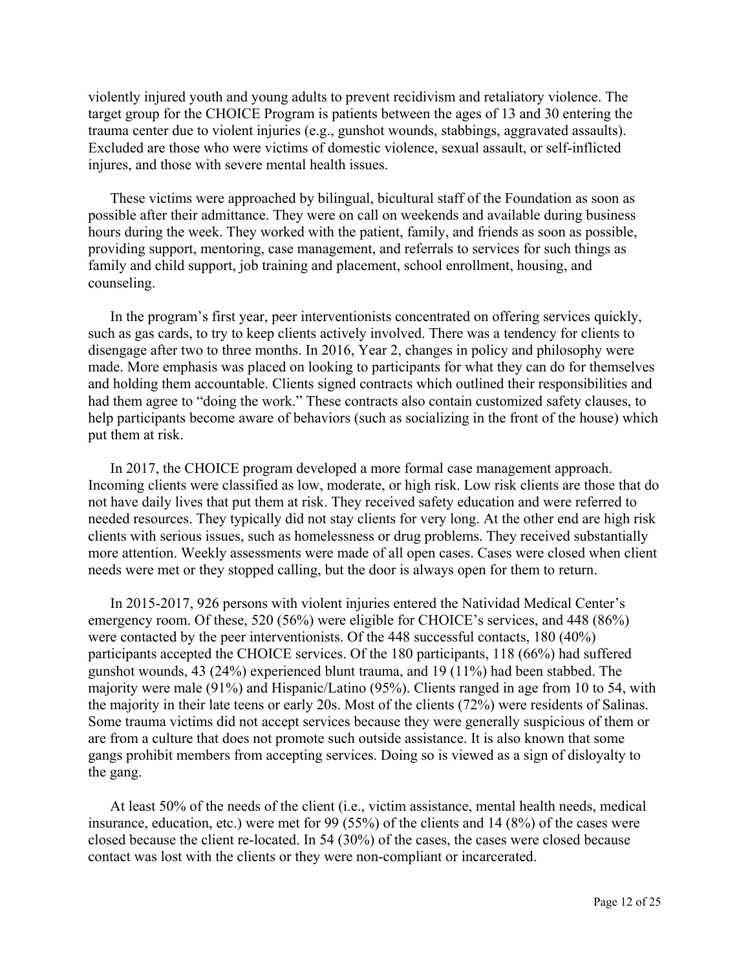violently injured youth and young adults to prevent recidivism and retaliatory violence. The target group for the CHOICE Program is patients between the ages of 13 and 30 entering the trauma center due to violent injuries (e.g., gunshot wounds, stabbings, aggravated assaults). Excluded are those who were victims of domestic violence, sexual assault, or self-inflicted injures, and those with severe mental health issues.

 These victims were approached by bilingual, bicultural staff of the Foundation as soon as possible after their admittance. They were on call on weekends and available during business hours during the week. They worked with the patient, family, and friends as soon as possible, providing support, mentoring, case management, and referrals to services for such things as family and child support, job training and placement, school enrollment, housing, and counseling.

 In the program's first year, peer interventionists concentrated on offering services quickly, such as gas cards, to try to keep clients actively involved. There was a tendency for clients to disengage after two to three months. In 2016, Year 2, changes in policy and philosophy were made. More emphasis was placed on looking to participants for what they can do for themselves and holding them accountable. Clients signed contracts which outlined their responsibilities and had them agree to "doing the work." These contracts also contain customized safety clauses, to help participants become aware of behaviors (such as socializing in the front of the house) which put them at risk.

 In 2017, the CHOICE program developed a more formal case management approach. Incoming clients were classified as low, moderate, or high risk. Low risk clients are those that do not have daily lives that put them at risk. They received safety education and were referred to needed resources. They typically did not stay clients for very long. At the other end are high risk clients with serious issues, such as homelessness or drug problems. They received substantially more attention. Weekly assessments were made of all open cases. Cases were closed when client needs were met or they stopped calling, but the door is always open for them to return.

 In 2015-2017, 926 persons with violent injuries entered the Natividad Medical Center's emergency room. Of these, 520 (56%) were eligible for CHOICE's services, and 448 (86%) were contacted by the peer interventionists. Of the 448 successful contacts, 180 (40%) participants accepted the CHOICE services. Of the 180 participants, 118 (66%) had suffered gunshot wounds, 43 (24%) experienced blunt trauma, and 19 (11%) had been stabbed. The majority were male (91%) and Hispanic/Latino (95%). Clients ranged in age from 10 to 54, with the majority in their late teens or early 20s. Most of the clients (72%) were residents of Salinas. Some trauma victims did not accept services because they were generally suspicious of them or are from a culture that does not promote such outside assistance. It is also known that some gangs prohibit members from accepting services. Doing so is viewed as a sign of disloyalty to the gang.

 At least 50% of the needs of the client (i.e., victim assistance, mental health needs, medical insurance, education, etc.) were met for 99 (55%) of the clients and 14 (8%) of the cases were closed because the client re-located. In 54 (30%) of the cases, the cases were closed because contact was lost with the clients or they were non-compliant or incarcerated.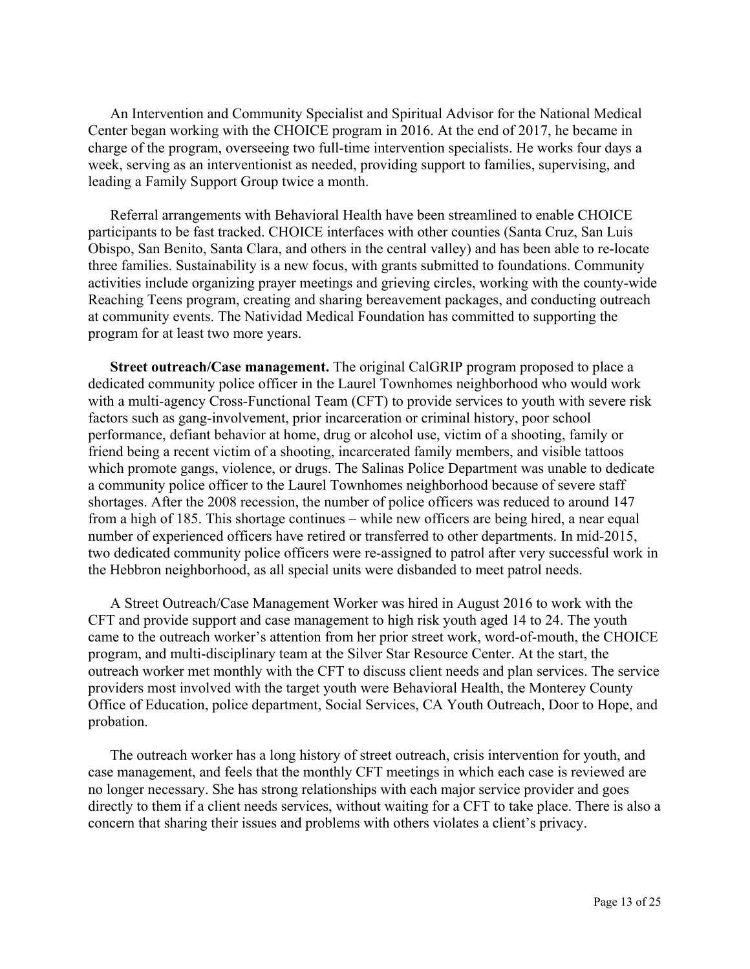An Intervention and Community Specialist and Spiritual Advisor for the National Medical Center began working with the CHOICE program in 2016. At the end of 2017, he became in charge of the program, overseeing two full-time intervention specialists. He works four days a week, serving as an interventionist as needed, providing support to families, supervising, and leading a Family Support Group twice a month.

 Referral arrangements with Behavioral Health have been streamlined to enable CHOICE participants to be fast tracked. CHOICE interfaces with other counties (Santa Cruz, San Luis Obispo, San Benito, Santa Clara, and others in the central valley) and has been able to re-locate three families. Sustainability is a new focus, with grants submitted to foundations. Community activities include organizing prayer meetings and grieving circles, working with the county-wide Reaching Teens program, creating and sharing bereavement packages, and conducting outreach at community events. The Natividad Medical Foundation has committed to supporting the program for at least two more years.

**Street outreach/Case management.** The original CalGRIP program proposed to place a dedicated community police officer in the Laurel Townhomes neighborhood who would work with a multi-agency Cross-Functional Team (CFT) to provide services to youth with severe risk factors such as gang-involvement, prior incarceration or criminal history, poor school performance, defiant behavior at home, drug or alcohol use, victim of a shooting, family or friend being a recent victim of a shooting, incarcerated family members, and visible tattoos which promote gangs, violence, or drugs. The Salinas Police Department was unable to dedicate a community police officer to the Laurel Townhomes neighborhood because of severe staff shortages. After the 2008 recession, the number of police officers was reduced to around 147 from a high of 185. This shortage continues – while new officers are being hired, a near equal number of experienced officers have retired or transferred to other departments. In mid-2015, two dedicated community police officers were re-assigned to patrol after very successful work in the Hebbron neighborhood, as all special units were disbanded to meet patrol needs.

 A Street Outreach/Case Management Worker was hired in August 2016 to work with the CFT and provide support and case management to high risk youth aged 14 to 24. The youth came to the outreach worker's attention from her prior street work, word-of-mouth, the CHOICE program, and multi-disciplinary team at the Silver Star Resource Center. At the start, the outreach worker met monthly with the CFT to discuss client needs and plan services. The service providers most involved with the target youth were Behavioral Health, the Monterey County Office of Education, police department, Social Services, CA Youth Outreach, Door to Hope, and probation.

 The outreach worker has a long history of street outreach, crisis intervention for youth, and case management, and feels that the monthly CFT meetings in which each case is reviewed are no longer necessary. She has strong relationships with each major service provider and goes directly to them if a client needs services, without waiting for a CFT to take place. There is also a concern that sharing their issues and problems with others violates a client's privacy.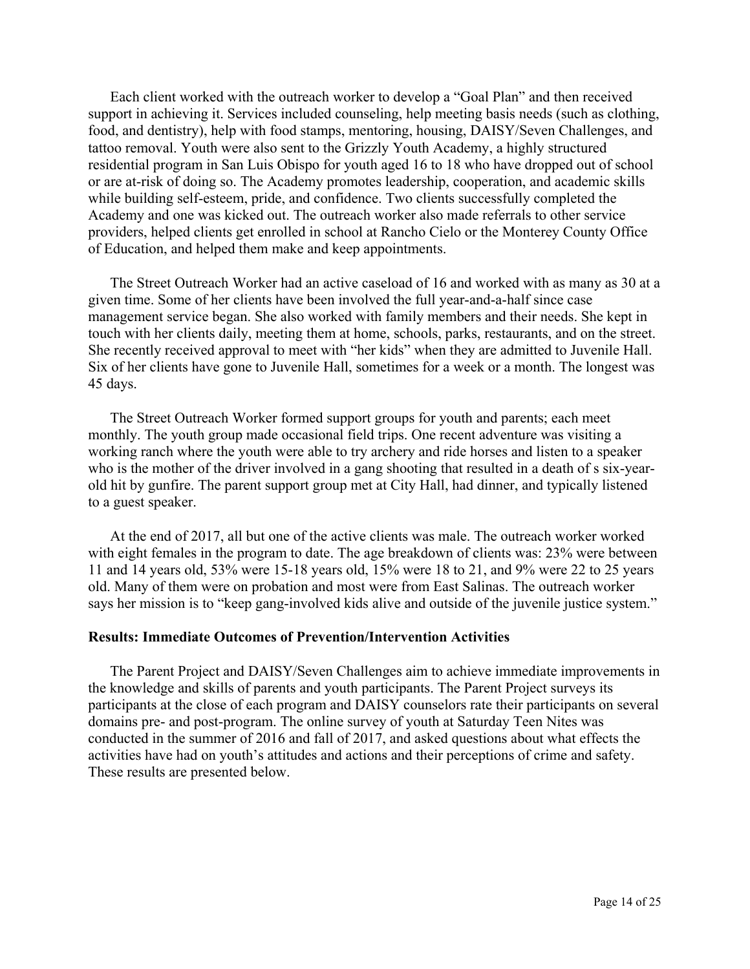Each client worked with the outreach worker to develop a "Goal Plan" and then received support in achieving it. Services included counseling, help meeting basis needs (such as clothing, food, and dentistry), help with food stamps, mentoring, housing, DAISY/Seven Challenges, and tattoo removal. Youth were also sent to the Grizzly Youth Academy, a highly structured residential program in San Luis Obispo for youth aged 16 to 18 who have dropped out of school or are at-risk of doing so. The Academy promotes leadership, cooperation, and academic skills while building self-esteem, pride, and confidence. Two clients successfully completed the Academy and one was kicked out. The outreach worker also made referrals to other service providers, helped clients get enrolled in school at Rancho Cielo or the Monterey County Office of Education, and helped them make and keep appointments.

 The Street Outreach Worker had an active caseload of 16 and worked with as many as 30 at a given time. Some of her clients have been involved the full year-and-a-half since case management service began. She also worked with family members and their needs. She kept in touch with her clients daily, meeting them at home, schools, parks, restaurants, and on the street. She recently received approval to meet with "her kids" when they are admitted to Juvenile Hall. Six of her clients have gone to Juvenile Hall, sometimes for a week or a month. The longest was 45 days.

 The Street Outreach Worker formed support groups for youth and parents; each meet monthly. The youth group made occasional field trips. One recent adventure was visiting a working ranch where the youth were able to try archery and ride horses and listen to a speaker who is the mother of the driver involved in a gang shooting that resulted in a death of s six-yearold hit by gunfire. The parent support group met at City Hall, had dinner, and typically listened to a guest speaker.

 At the end of 2017, all but one of the active clients was male. The outreach worker worked with eight females in the program to date. The age breakdown of clients was: 23% were between 11 and 14 years old, 53% were 15-18 years old, 15% were 18 to 21, and 9% were 22 to 25 years old. Many of them were on probation and most were from East Salinas. The outreach worker says her mission is to "keep gang-involved kids alive and outside of the juvenile justice system."

### **Results: Immediate Outcomes of Prevention/Intervention Activities**

 The Parent Project and DAISY/Seven Challenges aim to achieve immediate improvements in the knowledge and skills of parents and youth participants. The Parent Project surveys its participants at the close of each program and DAISY counselors rate their participants on several domains pre- and post-program. The online survey of youth at Saturday Teen Nites was conducted in the summer of 2016 and fall of 2017, and asked questions about what effects the activities have had on youth's attitudes and actions and their perceptions of crime and safety. These results are presented below.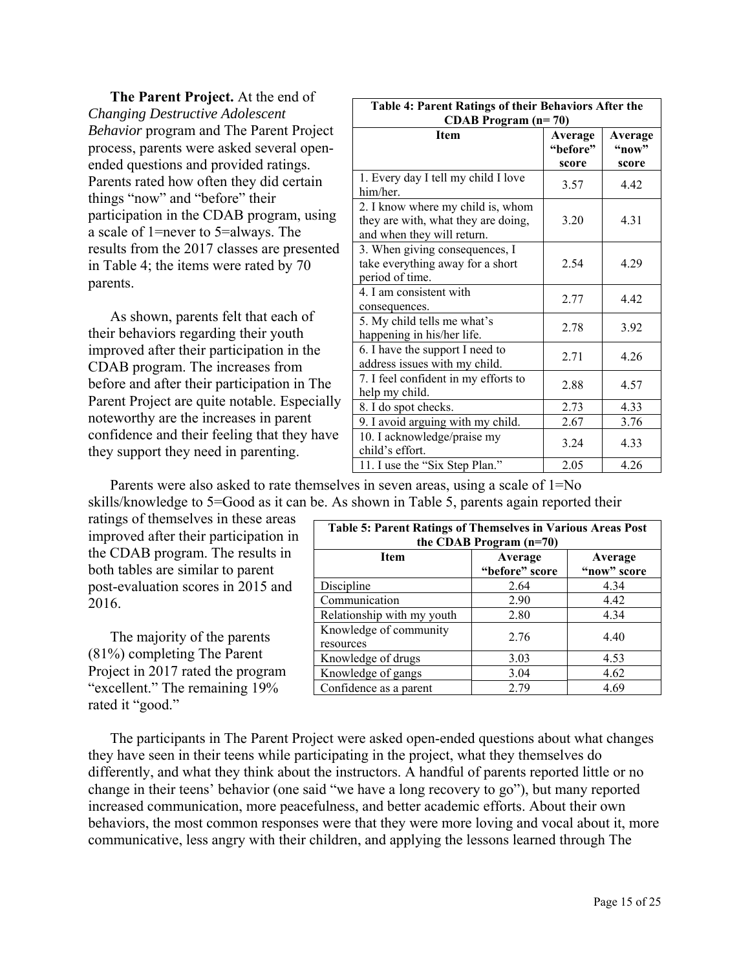**The Parent Project.** At the end of *Changing Destructive Adolescent Behavior* program and The Parent Project process, parents were asked several openended questions and provided ratings. Parents rated how often they did certain things "now" and "before" their participation in the CDAB program, using a scale of 1=never to 5=always. The results from the 2017 classes are presented in Table 4; the items were rated by 70 parents.

 As shown, parents felt that each of their behaviors regarding their youth improved after their participation in the CDAB program. The increases from before and after their participation in The Parent Project are quite notable. Especially noteworthy are the increases in parent confidence and their feeling that they have they support they need in parenting.

| Table 4: Parent Ratings of their Behaviors After the<br><b>CDAB</b> Program $(n=70)$                   |                              |                           |  |  |  |
|--------------------------------------------------------------------------------------------------------|------------------------------|---------------------------|--|--|--|
| <b>Item</b>                                                                                            | Average<br>"before"<br>score | Average<br>"now"<br>score |  |  |  |
| 1. Every day I tell my child I love<br>him/her.                                                        | 3.57                         | 4.42                      |  |  |  |
| 2. I know where my child is, whom<br>they are with, what they are doing,<br>and when they will return. | 3.20                         | 4.31                      |  |  |  |
| 3. When giving consequences, I<br>take everything away for a short<br>period of time.                  | 2.54                         | 4.29                      |  |  |  |
| 4. I am consistent with<br>consequences.                                                               | 2.77                         | 4.42                      |  |  |  |
| 5. My child tells me what's<br>happening in his/her life.                                              | 2.78                         | 3.92                      |  |  |  |
| 6. I have the support I need to<br>address issues with my child.                                       | 2.71                         | 4.26                      |  |  |  |
| 7. I feel confident in my efforts to<br>help my child.                                                 | 2.88                         | 4.57                      |  |  |  |
| 8. I do spot checks.                                                                                   | 2.73                         | 4.33                      |  |  |  |
| 9. I avoid arguing with my child.                                                                      | 2.67                         | 3.76                      |  |  |  |
| 10. I acknowledge/praise my<br>child's effort.                                                         | 3.24                         | 4.33                      |  |  |  |
| 11. I use the "Six Step Plan."                                                                         | 2.05                         | 4.26                      |  |  |  |

 Parents were also asked to rate themselves in seven areas, using a scale of 1=No skills/knowledge to 5=Good as it can be. As shown in Table 5, parents again reported their

ratings of themselves in these areas improved after their participation in the CDAB program. The results in both tables are similar to parent post-evaluation scores in 2015 and 2016.

 The majority of the parents (81%) completing The Parent Project in 2017 rated the program "excellent." The remaining 19% rated it "good."

| <b>Table 5: Parent Ratings of Themselves in Various Areas Post</b><br>the CDAB Program (n=70) |                        |      |  |  |  |  |
|-----------------------------------------------------------------------------------------------|------------------------|------|--|--|--|--|
| <b>Item</b>                                                                                   | Average<br>"now" score |      |  |  |  |  |
| Discipline                                                                                    | 2.64                   | 4.34 |  |  |  |  |
| Communication                                                                                 | 2.90                   | 4.42 |  |  |  |  |
| Relationship with my youth                                                                    | 2.80                   | 4.34 |  |  |  |  |
| Knowledge of community<br>resources                                                           | 2.76                   | 4.40 |  |  |  |  |
| Knowledge of drugs                                                                            | 3.03                   | 4.53 |  |  |  |  |
| Knowledge of gangs                                                                            | 3.04                   | 4.62 |  |  |  |  |
| Confidence as a parent                                                                        | 2.79                   | 4.69 |  |  |  |  |

 The participants in The Parent Project were asked open-ended questions about what changes they have seen in their teens while participating in the project, what they themselves do differently, and what they think about the instructors. A handful of parents reported little or no change in their teens' behavior (one said "we have a long recovery to go"), but many reported increased communication, more peacefulness, and better academic efforts. About their own behaviors, the most common responses were that they were more loving and vocal about it, more communicative, less angry with their children, and applying the lessons learned through The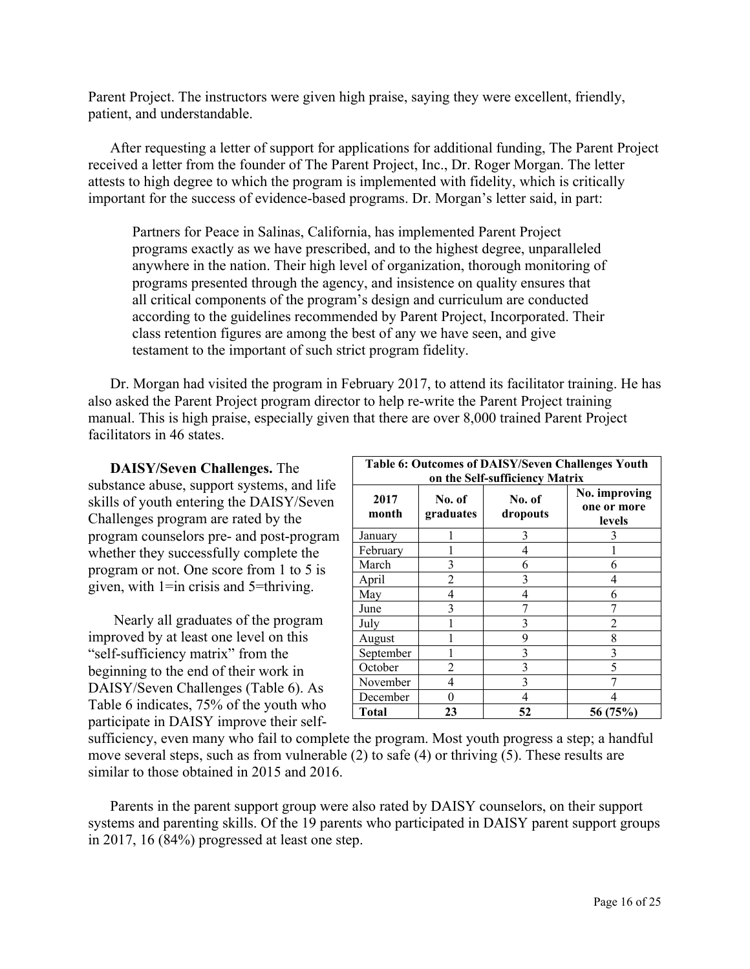Parent Project. The instructors were given high praise, saying they were excellent, friendly, patient, and understandable.

 After requesting a letter of support for applications for additional funding, The Parent Project received a letter from the founder of The Parent Project, Inc., Dr. Roger Morgan. The letter attests to high degree to which the program is implemented with fidelity, which is critically important for the success of evidence-based programs. Dr. Morgan's letter said, in part:

Partners for Peace in Salinas, California, has implemented Parent Project programs exactly as we have prescribed, and to the highest degree, unparalleled anywhere in the nation. Their high level of organization, thorough monitoring of programs presented through the agency, and insistence on quality ensures that all critical components of the program's design and curriculum are conducted according to the guidelines recommended by Parent Project, Incorporated. Their class retention figures are among the best of any we have seen, and give testament to the important of such strict program fidelity.

 Dr. Morgan had visited the program in February 2017, to attend its facilitator training. He has also asked the Parent Project program director to help re-write the Parent Project training manual. This is high praise, especially given that there are over 8,000 trained Parent Project facilitators in 46 states.

 **DAISY/Seven Challenges.** The substance abuse, support systems, and life skills of youth entering the DAISY/Seven Challenges program are rated by the program counselors pre- and post-program whether they successfully complete the program or not. One score from 1 to 5 is given, with 1=in crisis and 5=thriving.

 Nearly all graduates of the program improved by at least one level on this "self-sufficiency matrix" from the beginning to the end of their work in DAISY/Seven Challenges (Table 6). As Table 6 indicates, 75% of the youth who participate in DAISY improve their self-

| Table 6: Outcomes of DAISY/Seven Challenges Youth |                                           |    |                                        |  |  |  |
|---------------------------------------------------|-------------------------------------------|----|----------------------------------------|--|--|--|
| on the Self-sufficiency Matrix                    |                                           |    |                                        |  |  |  |
| 2017<br>month                                     | No. of<br>No. of<br>graduates<br>dropouts |    | No. improving<br>one or more<br>levels |  |  |  |
| January                                           |                                           | 3  |                                        |  |  |  |
| February                                          |                                           | 4  |                                        |  |  |  |
| March                                             | 3                                         | 6  | h                                      |  |  |  |
| April                                             | $\mathfrak{D}$                            | 3  |                                        |  |  |  |
| May                                               | 4                                         | 4  | 6                                      |  |  |  |
| June                                              | 3                                         |    |                                        |  |  |  |
| July                                              |                                           | 3  |                                        |  |  |  |
| August                                            |                                           | 9  | 8                                      |  |  |  |
| September                                         |                                           | 3  | 3                                      |  |  |  |
| October                                           | 2                                         | 3  | 5                                      |  |  |  |
| November                                          | 4                                         | 3  |                                        |  |  |  |
| December                                          | 0                                         | 4  |                                        |  |  |  |
| Total                                             | 23                                        | 52 | 56 (75%)                               |  |  |  |

sufficiency, even many who fail to complete the program. Most youth progress a step; a handful move several steps, such as from vulnerable (2) to safe (4) or thriving (5). These results are similar to those obtained in 2015 and 2016.

 Parents in the parent support group were also rated by DAISY counselors, on their support systems and parenting skills. Of the 19 parents who participated in DAISY parent support groups in 2017, 16 (84%) progressed at least one step.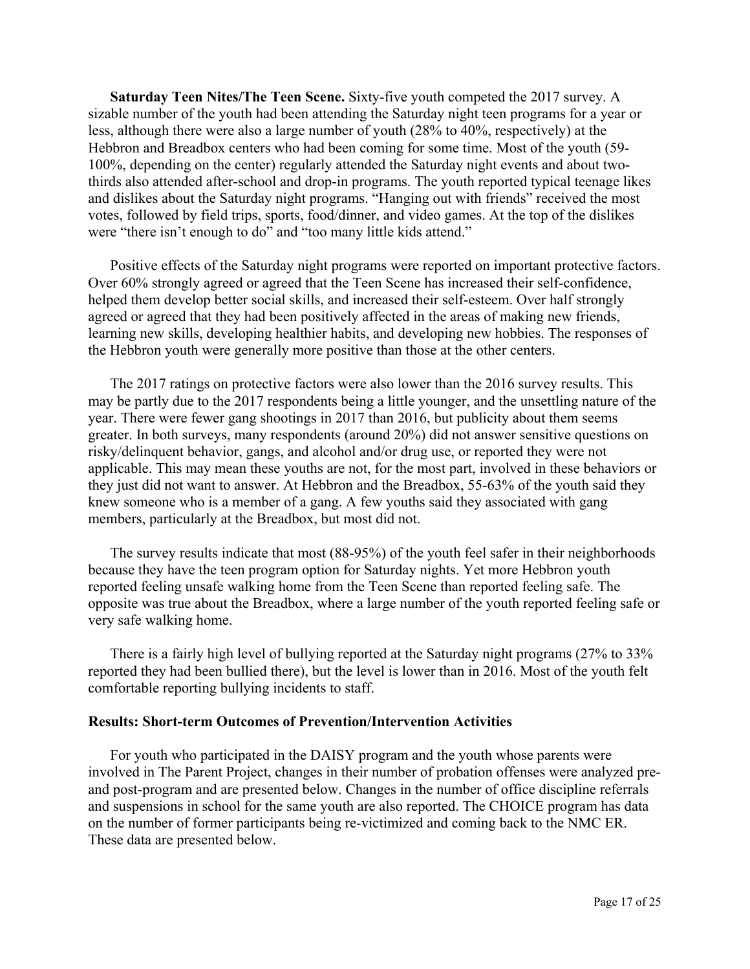**Saturday Teen Nites/The Teen Scene.** Sixty-five youth competed the 2017 survey. A sizable number of the youth had been attending the Saturday night teen programs for a year or less, although there were also a large number of youth (28% to 40%, respectively) at the Hebbron and Breadbox centers who had been coming for some time. Most of the youth (59- 100%, depending on the center) regularly attended the Saturday night events and about twothirds also attended after-school and drop-in programs. The youth reported typical teenage likes and dislikes about the Saturday night programs. "Hanging out with friends" received the most votes, followed by field trips, sports, food/dinner, and video games. At the top of the dislikes were "there isn't enough to do" and "too many little kids attend."

 Positive effects of the Saturday night programs were reported on important protective factors. Over 60% strongly agreed or agreed that the Teen Scene has increased their self-confidence, helped them develop better social skills, and increased their self-esteem. Over half strongly agreed or agreed that they had been positively affected in the areas of making new friends, learning new skills, developing healthier habits, and developing new hobbies. The responses of the Hebbron youth were generally more positive than those at the other centers.

 The 2017 ratings on protective factors were also lower than the 2016 survey results. This may be partly due to the 2017 respondents being a little younger, and the unsettling nature of the year. There were fewer gang shootings in 2017 than 2016, but publicity about them seems greater. In both surveys, many respondents (around 20%) did not answer sensitive questions on risky/delinquent behavior, gangs, and alcohol and/or drug use, or reported they were not applicable. This may mean these youths are not, for the most part, involved in these behaviors or they just did not want to answer. At Hebbron and the Breadbox, 55-63% of the youth said they knew someone who is a member of a gang. A few youths said they associated with gang members, particularly at the Breadbox, but most did not.

 The survey results indicate that most (88-95%) of the youth feel safer in their neighborhoods because they have the teen program option for Saturday nights. Yet more Hebbron youth reported feeling unsafe walking home from the Teen Scene than reported feeling safe. The opposite was true about the Breadbox, where a large number of the youth reported feeling safe or very safe walking home.

 There is a fairly high level of bullying reported at the Saturday night programs (27% to 33% reported they had been bullied there), but the level is lower than in 2016. Most of the youth felt comfortable reporting bullying incidents to staff.

### **Results: Short-term Outcomes of Prevention/Intervention Activities**

 For youth who participated in the DAISY program and the youth whose parents were involved in The Parent Project, changes in their number of probation offenses were analyzed preand post-program and are presented below. Changes in the number of office discipline referrals and suspensions in school for the same youth are also reported. The CHOICE program has data on the number of former participants being re-victimized and coming back to the NMC ER. These data are presented below.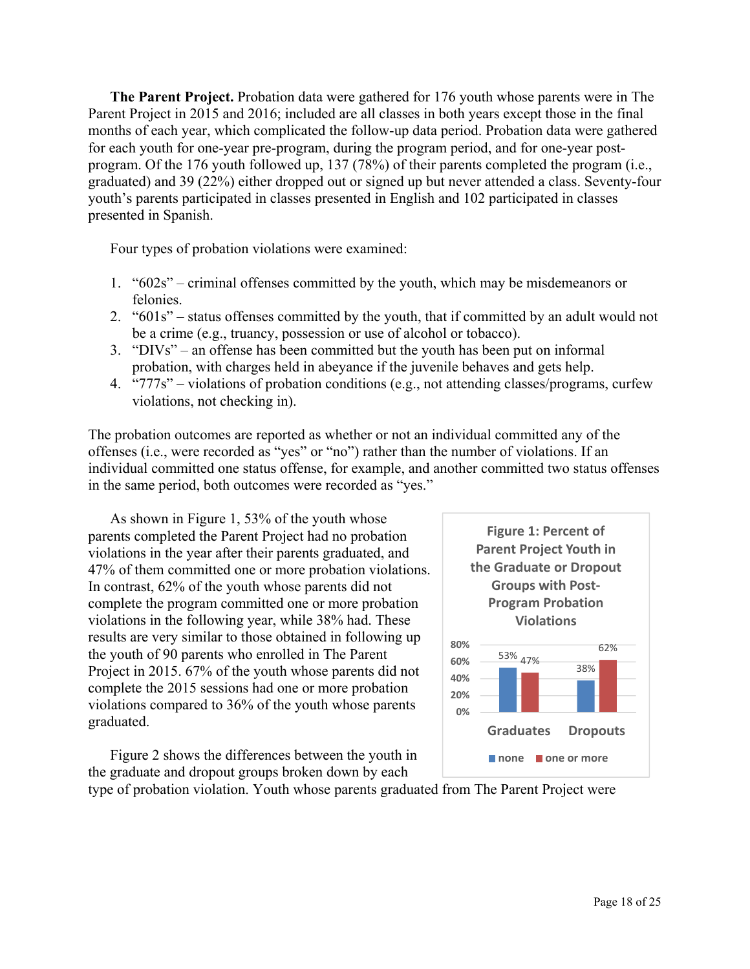**The Parent Project.** Probation data were gathered for 176 youth whose parents were in The Parent Project in 2015 and 2016; included are all classes in both years except those in the final months of each year, which complicated the follow-up data period. Probation data were gathered for each youth for one-year pre-program, during the program period, and for one-year postprogram. Of the 176 youth followed up, 137 (78%) of their parents completed the program (i.e., graduated) and 39 (22%) either dropped out or signed up but never attended a class. Seventy-four youth's parents participated in classes presented in English and 102 participated in classes presented in Spanish.

Four types of probation violations were examined:

- 1. "602s" criminal offenses committed by the youth, which may be misdemeanors or felonies.
- 2. "601s" status offenses committed by the youth, that if committed by an adult would not be a crime (e.g., truancy, possession or use of alcohol or tobacco).
- 3. "DIVs" an offense has been committed but the youth has been put on informal probation, with charges held in abeyance if the juvenile behaves and gets help.
- 4. "777s" violations of probation conditions (e.g., not attending classes/programs, curfew violations, not checking in).

The probation outcomes are reported as whether or not an individual committed any of the offenses (i.e., were recorded as "yes" or "no") rather than the number of violations. If an individual committed one status offense, for example, and another committed two status offenses in the same period, both outcomes were recorded as "yes."

 As shown in Figure 1, 53% of the youth whose parents completed the Parent Project had no probation violations in the year after their parents graduated, and 47% of them committed one or more probation violations. In contrast, 62% of the youth whose parents did not complete the program committed one or more probation violations in the following year, while 38% had. These results are very similar to those obtained in following up the youth of 90 parents who enrolled in The Parent Project in 2015. 67% of the youth whose parents did not complete the 2015 sessions had one or more probation violations compared to 36% of the youth whose parents graduated.

 Figure 2 shows the differences between the youth in the graduate and dropout groups broken down by each



type of probation violation. Youth whose parents graduated from The Parent Project were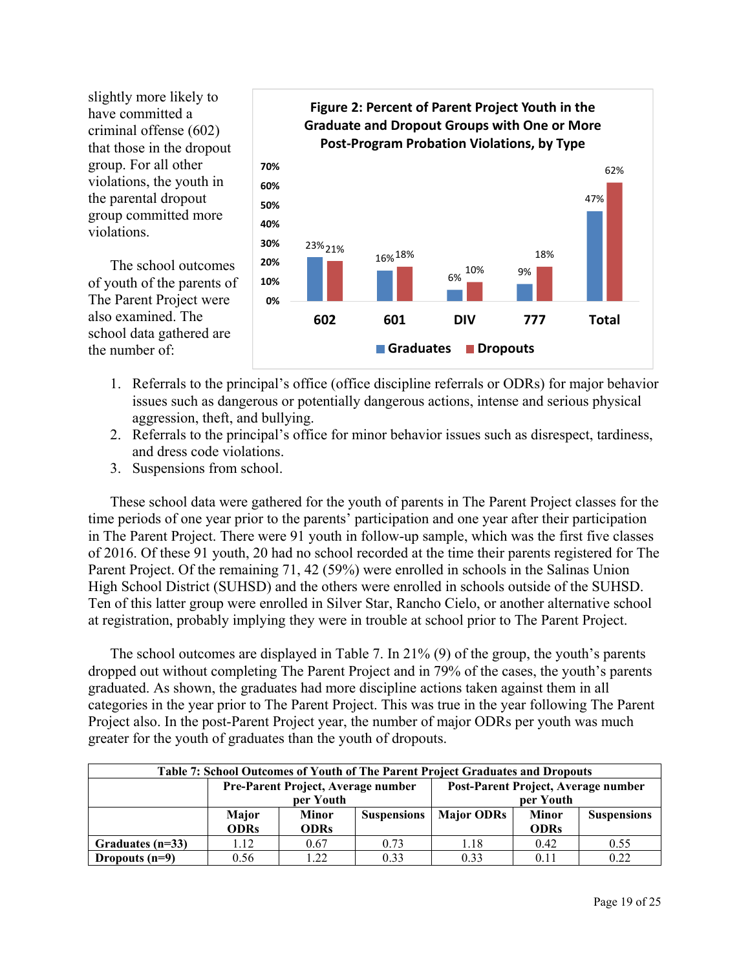slightly more likely to have committed a criminal offense (602) that those in the dropout group. For all other violations, the youth in the parental dropout group committed more violations.

 The school outcomes of youth of the parents of The Parent Project were also examined. The school data gathered are the number of:



- 1. Referrals to the principal's office (office discipline referrals or ODRs) for major behavior issues such as dangerous or potentially dangerous actions, intense and serious physical aggression, theft, and bullying.
- 2. Referrals to the principal's office for minor behavior issues such as disrespect, tardiness, and dress code violations.
- 3. Suspensions from school.

 These school data were gathered for the youth of parents in The Parent Project classes for the time periods of one year prior to the parents' participation and one year after their participation in The Parent Project. There were 91 youth in follow-up sample, which was the first five classes of 2016. Of these 91 youth, 20 had no school recorded at the time their parents registered for The Parent Project. Of the remaining 71, 42 (59%) were enrolled in schools in the Salinas Union High School District (SUHSD) and the others were enrolled in schools outside of the SUHSD. Ten of this latter group were enrolled in Silver Star, Rancho Cielo, or another alternative school at registration, probably implying they were in trouble at school prior to The Parent Project.

 The school outcomes are displayed in Table 7. In 21% (9) of the group, the youth's parents dropped out without completing The Parent Project and in 79% of the cases, the youth's parents graduated. As shown, the graduates had more discipline actions taken against them in all categories in the year prior to The Parent Project. This was true in the year following The Parent Project also. In the post-Parent Project year, the number of major ODRs per youth was much greater for the youth of graduates than the youth of dropouts.

| Table 7: School Outcomes of Youth of The Parent Project Graduates and Dropouts |              |                                    |                    |                                     |              |                    |  |
|--------------------------------------------------------------------------------|--------------|------------------------------------|--------------------|-------------------------------------|--------------|--------------------|--|
|                                                                                |              | Pre-Parent Project, Average number |                    | Post-Parent Project, Average number |              |                    |  |
|                                                                                | per Youth    |                                    |                    | per Youth                           |              |                    |  |
|                                                                                | <b>Major</b> | Minor                              | <b>Suspensions</b> | <b>Major ODRs</b>                   | <b>Minor</b> | <b>Suspensions</b> |  |
|                                                                                | <b>ODRs</b>  | <b>ODRs</b>                        |                    |                                     | <b>ODRs</b>  |                    |  |
| Graduates $(n=33)$                                                             | 1.12         | 0.67                               | 0.73               | 1.18                                | 0.42         | 0.55               |  |
| Dropouts $(n=9)$                                                               | 0.56         | 1.22                               | 0.33               | 0.33                                | 0.11         | 0.22               |  |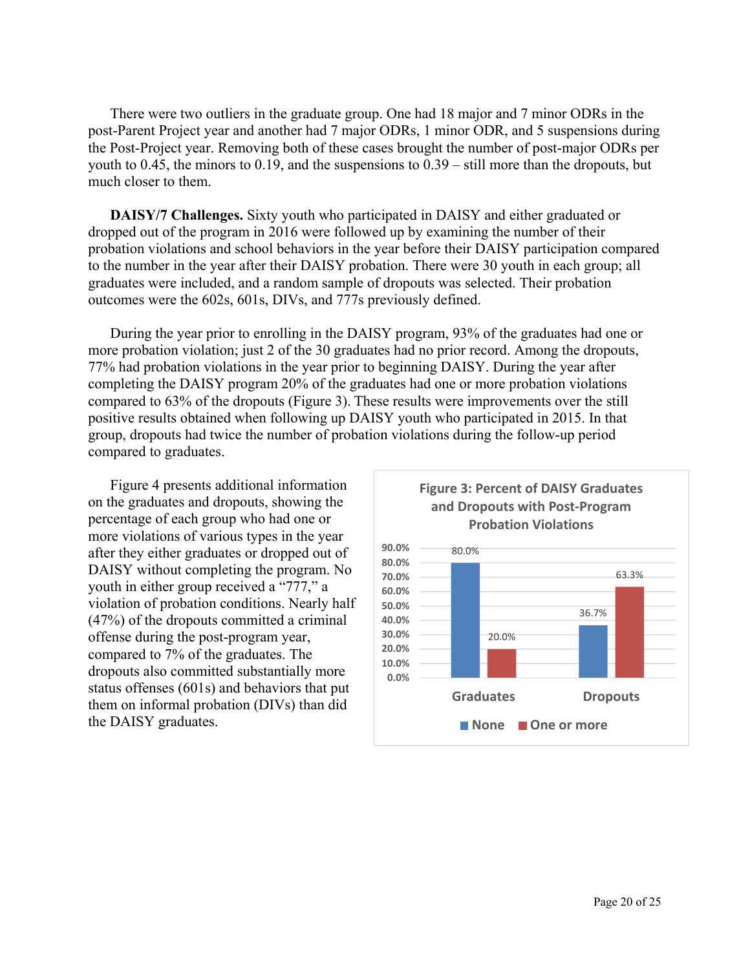There were two outliers in the graduate group. One had 18 major and 7 minor ODRs in the post-Parent Project year and another had 7 major ODRs, 1 minor ODR, and 5 suspensions during the Post-Project year. Removing both of these cases brought the number of post-major ODRs per youth to 0.45, the minors to 0.19, and the suspensions to 0.39 – still more than the dropouts, but much closer to them.

 **DAISY/7 Challenges.** Sixty youth who participated in DAISY and either graduated or dropped out of the program in 2016 were followed up by examining the number of their probation violations and school behaviors in the year before their DAISY participation compared to the number in the year after their DAISY probation. There were 30 youth in each group; all graduates were included, and a random sample of dropouts was selected. Their probation outcomes were the 602s, 601s, DIVs, and 777s previously defined.

 During the year prior to enrolling in the DAISY program, 93% of the graduates had one or more probation violation; just 2 of the 30 graduates had no prior record. Among the dropouts, 77% had probation violations in the year prior to beginning DAISY. During the year after completing the DAISY program 20% of the graduates had one or more probation violations compared to 63% of the dropouts (Figure 3). These results were improvements over the still positive results obtained when following up DAISY youth who participated in 2015. In that group, dropouts had twice the number of probation violations during the follow-up period compared to graduates.

 Figure 4 presents additional information on the graduates and dropouts, showing the percentage of each group who had one or more violations of various types in the year after they either graduates or dropped out of DAISY without completing the program. No youth in either group received a "777," a violation of probation conditions. Nearly half (47%) of the dropouts committed a criminal offense during the post-program year, compared to 7% of the graduates. The dropouts also committed substantially more status offenses (601s) and behaviors that put them on informal probation (DIVs) than did the DAISY graduates.

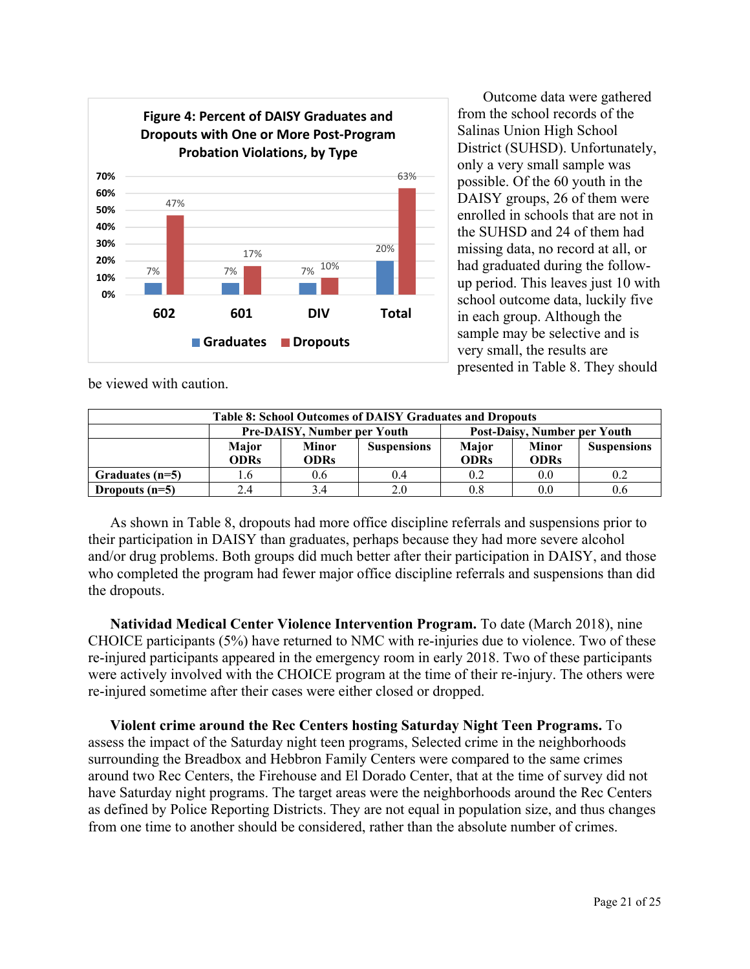

 Outcome data were gathered from the school records of the Salinas Union High School District (SUHSD). Unfortunately, only a very small sample was possible. Of the 60 youth in the DAISY groups, 26 of them were enrolled in schools that are not in the SUHSD and 24 of them had missing data, no record at all, or had graduated during the followup period. This leaves just 10 with school outcome data, luckily five in each group. Although the sample may be selective and is very small, the results are presented in Table 8. They should

be viewed with caution.

| <b>Table 8: School Outcomes of DAISY Graduates and Dropouts</b> |                                                                    |                                    |     |             |              |                    |  |  |
|-----------------------------------------------------------------|--------------------------------------------------------------------|------------------------------------|-----|-------------|--------------|--------------------|--|--|
|                                                                 | <b>Pre-DAISY, Number per Youth</b><br>Post-Daisy, Number per Youth |                                    |     |             |              |                    |  |  |
|                                                                 | Major                                                              | <b>Suspensions</b><br><b>Minor</b> |     |             | <b>Minor</b> | <b>Suspensions</b> |  |  |
|                                                                 | ODRs                                                               | <b>ODRs</b>                        |     | <b>ODRs</b> | <b>ODRs</b>  |                    |  |  |
| Graduates (n=5)                                                 | 1.6                                                                | 0.6                                | 0.4 | 0.2         | $0.0\,$      | 0.2                |  |  |
| Dropouts $(n=5)$                                                | 3.4<br>0.8<br>0.6<br>2.0<br>$0.0\,$<br>2.4                         |                                    |     |             |              |                    |  |  |

 As shown in Table 8, dropouts had more office discipline referrals and suspensions prior to their participation in DAISY than graduates, perhaps because they had more severe alcohol and/or drug problems. Both groups did much better after their participation in DAISY, and those who completed the program had fewer major office discipline referrals and suspensions than did the dropouts.

**Natividad Medical Center Violence Intervention Program.** To date (March 2018), nine CHOICE participants (5%) have returned to NMC with re-injuries due to violence. Two of these re-injured participants appeared in the emergency room in early 2018. Two of these participants were actively involved with the CHOICE program at the time of their re-injury. The others were re-injured sometime after their cases were either closed or dropped.

**Violent crime around the Rec Centers hosting Saturday Night Teen Programs.** To assess the impact of the Saturday night teen programs, Selected crime in the neighborhoods surrounding the Breadbox and Hebbron Family Centers were compared to the same crimes around two Rec Centers, the Firehouse and El Dorado Center, that at the time of survey did not have Saturday night programs. The target areas were the neighborhoods around the Rec Centers as defined by Police Reporting Districts. They are not equal in population size, and thus changes from one time to another should be considered, rather than the absolute number of crimes.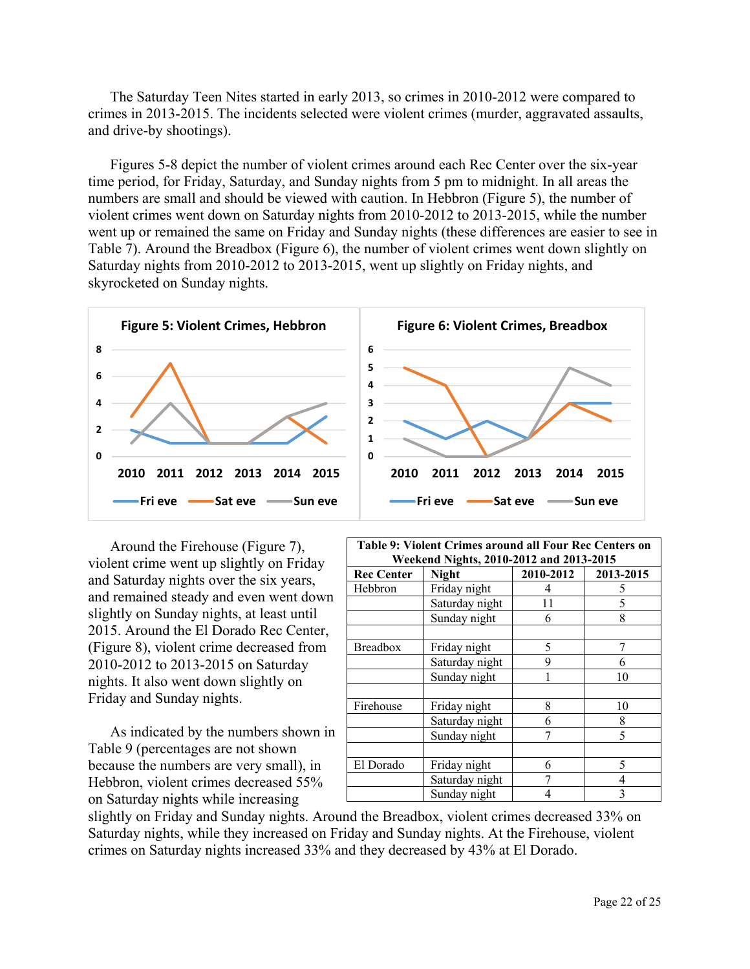The Saturday Teen Nites started in early 2013, so crimes in 2010-2012 were compared to crimes in 2013-2015. The incidents selected were violent crimes (murder, aggravated assaults, and drive-by shootings).

 Figures 5-8 depict the number of violent crimes around each Rec Center over the six-year time period, for Friday, Saturday, and Sunday nights from 5 pm to midnight. In all areas the numbers are small and should be viewed with caution. In Hebbron (Figure 5), the number of violent crimes went down on Saturday nights from 2010-2012 to 2013-2015, while the number went up or remained the same on Friday and Sunday nights (these differences are easier to see in Table 7). Around the Breadbox (Figure 6), the number of violent crimes went down slightly on Saturday nights from 2010-2012 to 2013-2015, went up slightly on Friday nights, and skyrocketed on Sunday nights.



 Around the Firehouse (Figure 7), violent crime went up slightly on Friday and Saturday nights over the six years, and remained steady and even went down slightly on Sunday nights, at least until 2015. Around the El Dorado Rec Center, (Figure 8), violent crime decreased from 2010-2012 to 2013-2015 on Saturday nights. It also went down slightly on Friday and Sunday nights.

 As indicated by the numbers shown in Table 9 (percentages are not shown because the numbers are very small), in Hebbron, violent crimes decreased 55% on Saturday nights while increasing



| Table 9: Violent Crimes around all Four Rec Centers on |                |           |                          |  |  |  |
|--------------------------------------------------------|----------------|-----------|--------------------------|--|--|--|
| Weekend Nights, 2010-2012 and 2013-2015                |                |           |                          |  |  |  |
| <b>Rec Center</b>                                      | <b>Night</b>   | 2010-2012 | 2013-2015                |  |  |  |
| Hebbron                                                | Friday night   | 4         | 5                        |  |  |  |
|                                                        | Saturday night | 11        | 5                        |  |  |  |
|                                                        | Sunday night   | 6         | 8                        |  |  |  |
|                                                        |                |           |                          |  |  |  |
| <b>Breadbox</b>                                        | Friday night   | 5         |                          |  |  |  |
|                                                        | Saturday night | 9         | 6                        |  |  |  |
|                                                        | Sunday night   |           | 10                       |  |  |  |
|                                                        |                |           |                          |  |  |  |
| Firehouse                                              | Friday night   | 8         | 10                       |  |  |  |
|                                                        | Saturday night | 6         | 8                        |  |  |  |
|                                                        | Sunday night   |           | $\overline{\phantom{0}}$ |  |  |  |
|                                                        |                |           |                          |  |  |  |
| El Dorado                                              | Friday night   | 6         | 5                        |  |  |  |
|                                                        | Saturday night |           | 4                        |  |  |  |
|                                                        | Sunday night   |           | 3                        |  |  |  |

slightly on Friday and Sunday nights. Around the Breadbox, violent crimes decreased 33% on Saturday nights, while they increased on Friday and Sunday nights. At the Firehouse, violent crimes on Saturday nights increased 33% and they decreased by 43% at El Dorado.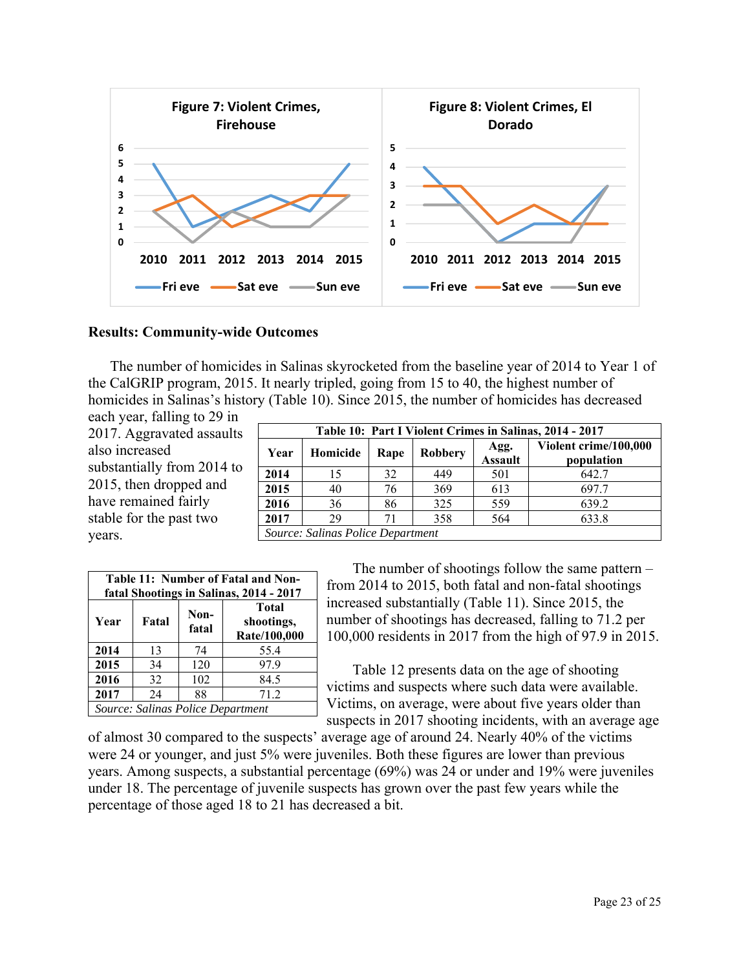

### **Results: Community-wide Outcomes**

The number of homicides in Salinas skyrocketed from the baseline year of 2014 to Year 1 of the CalGRIP program, 2015. It nearly tripled, going from 15 to 40, the highest number of homicides in Salinas's history (Table 10). Since 2015, the number of homicides has decreased each year, falling to 29 in

2017. Aggravated assaults also increased substantially from 2014 to 2015, then dropped and have remained fairly stable for the past two years.

|      | Table 10: Part I Violent Crimes in Salinas, 2014 - 2017 |      |                |                        |                                     |  |  |
|------|---------------------------------------------------------|------|----------------|------------------------|-------------------------------------|--|--|
| Year | Homicide                                                | Rape | <b>Robbery</b> | Agg.<br><b>Assault</b> | Violent crime/100,000<br>population |  |  |
| 2014 | 15                                                      | 32   | 449            | 501                    | 642.7                               |  |  |
| 2015 | 40                                                      | 76   | 369            | 613                    | 697.7                               |  |  |
| 2016 | 36                                                      | 86   | 325            | 559                    | 639.2                               |  |  |
| 2017 | 29                                                      | 71   | 358            | 564                    | 633.8                               |  |  |
|      | Source: Salinas Police Department                       |      |                |                        |                                     |  |  |

| Table 11: Number of Fatal and Non-<br>fatal Shootings in Salinas, 2014 - 2017 |    |     |                                   |  |  |  |
|-------------------------------------------------------------------------------|----|-----|-----------------------------------|--|--|--|
| Total<br>Non-<br>Year<br>Fatal<br>shootings,<br>fatal<br>Rate/100,000         |    |     |                                   |  |  |  |
| 2014                                                                          | 13 | 74  | 55.4                              |  |  |  |
| 2015                                                                          | 34 | 120 | 97.9                              |  |  |  |
| 2016                                                                          | 32 | 102 | 84.5                              |  |  |  |
| 2017                                                                          | 24 | 88  | 71.2                              |  |  |  |
|                                                                               |    |     | Source: Salinas Police Department |  |  |  |

 The number of shootings follow the same pattern – from 2014 to 2015, both fatal and non-fatal shootings increased substantially (Table 11). Since 2015, the number of shootings has decreased, falling to 71.2 per 100,000 residents in 2017 from the high of 97.9 in 2015.

Table 12 presents data on the age of shooting victims and suspects where such data were available. Victims, on average, were about five years older than suspects in 2017 shooting incidents, with an average age

of almost 30 compared to the suspects' average age of around 24. Nearly 40% of the victims were 24 or younger, and just 5% were juveniles. Both these figures are lower than previous years. Among suspects, a substantial percentage (69%) was 24 or under and 19% were juveniles under 18. The percentage of juvenile suspects has grown over the past few years while the percentage of those aged 18 to 21 has decreased a bit.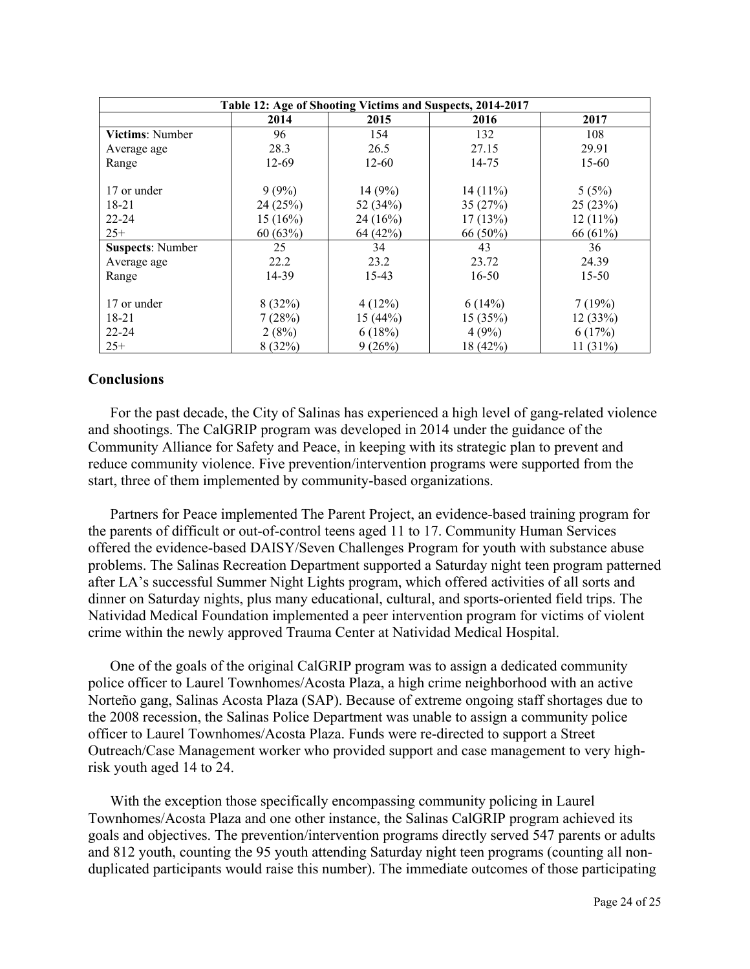| Table 12: Age of Shooting Victims and Suspects, 2014-2017 |                     |                    |                       |                    |  |  |  |  |
|-----------------------------------------------------------|---------------------|--------------------|-----------------------|--------------------|--|--|--|--|
|                                                           | 2014                | 2015               | 2016                  | 2017               |  |  |  |  |
| <b>Victims:</b> Number                                    | 96                  | 154                | 132                   | 108                |  |  |  |  |
| Average age                                               | 28.3                | 26.5               | 27.15                 | 29.91              |  |  |  |  |
| Range                                                     | 12-69               | 12-60              | 14-75                 | 15-60              |  |  |  |  |
| 17 or under<br>$18 - 21$                                  | $9(9\%)$<br>24(25%) | 14(9%)<br>52 (34%) | $14(11\%)$<br>35(27%) | 5(5%)<br>25(23%)   |  |  |  |  |
| $22 - 24$                                                 | 15(16%)             | 24(16%)            | 17(13%)               | 12(11%)            |  |  |  |  |
| $25+$                                                     | 60(63%)             | 64 (42%)           | 66 (50%)              | 66 (61%)           |  |  |  |  |
| <b>Suspects: Number</b>                                   | 25                  | 34                 | 43                    | 36                 |  |  |  |  |
| Average age                                               | 22.2                | 23.2               | 23.72                 | 24.39              |  |  |  |  |
| Range                                                     | 14-39               | 15-43              | $16 - 50$             | $15 - 50$          |  |  |  |  |
| 17 or under<br>18-21                                      | 8(32%)<br>7(28%)    | 4(12%)<br>15(44%)  | 6(14%)<br>15(35%)     | 7(19%)<br>12 (33%) |  |  |  |  |
| $22 - 24$                                                 | 2(8%)               | 6(18%)             | 4(9%)                 | 6(17%)             |  |  |  |  |
| $25+$                                                     | 8(32%)              | 9(26%)             | 18(42%)               | 11(31%)            |  |  |  |  |

# **Conclusions**

 For the past decade, the City of Salinas has experienced a high level of gang-related violence and shootings. The CalGRIP program was developed in 2014 under the guidance of the Community Alliance for Safety and Peace, in keeping with its strategic plan to prevent and reduce community violence. Five prevention/intervention programs were supported from the start, three of them implemented by community-based organizations.

 Partners for Peace implemented The Parent Project, an evidence-based training program for the parents of difficult or out-of-control teens aged 11 to 17. Community Human Services offered the evidence-based DAISY/Seven Challenges Program for youth with substance abuse problems. The Salinas Recreation Department supported a Saturday night teen program patterned after LA's successful Summer Night Lights program, which offered activities of all sorts and dinner on Saturday nights, plus many educational, cultural, and sports-oriented field trips. The Natividad Medical Foundation implemented a peer intervention program for victims of violent crime within the newly approved Trauma Center at Natividad Medical Hospital.

 One of the goals of the original CalGRIP program was to assign a dedicated community police officer to Laurel Townhomes/Acosta Plaza, a high crime neighborhood with an active Norteño gang, Salinas Acosta Plaza (SAP). Because of extreme ongoing staff shortages due to the 2008 recession, the Salinas Police Department was unable to assign a community police officer to Laurel Townhomes/Acosta Plaza. Funds were re-directed to support a Street Outreach/Case Management worker who provided support and case management to very highrisk youth aged 14 to 24.

 With the exception those specifically encompassing community policing in Laurel Townhomes/Acosta Plaza and one other instance, the Salinas CalGRIP program achieved its goals and objectives. The prevention/intervention programs directly served 547 parents or adults and 812 youth, counting the 95 youth attending Saturday night teen programs (counting all nonduplicated participants would raise this number). The immediate outcomes of those participating